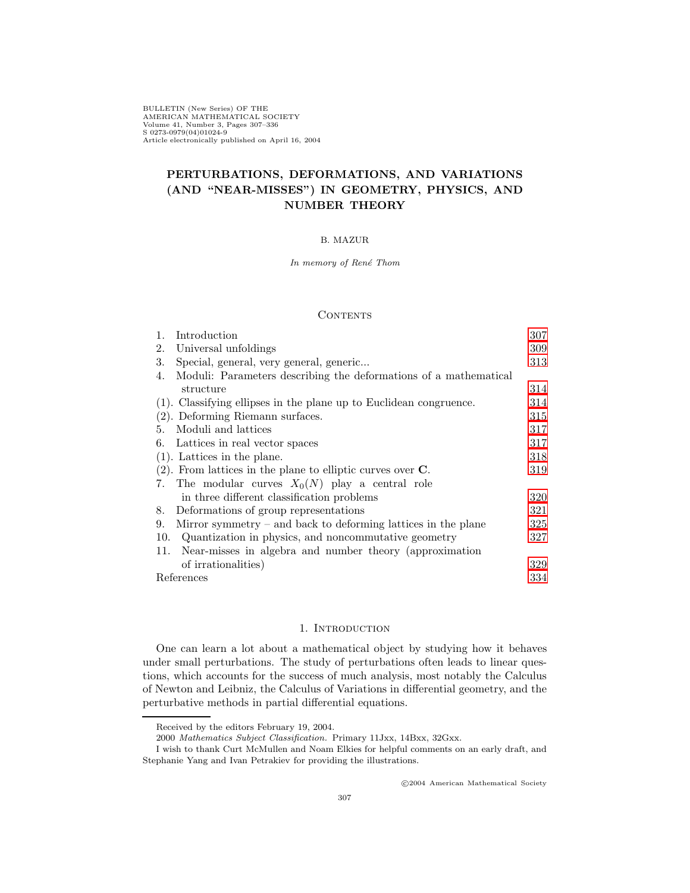BULLETIN (New Series) OF THE AMERICAN MATHEMATICAL SOCIETY Volume 41, Number 3, Pages 307–336 S 0273-0979(04)01024-9 Article electronically published on April 16, 2004

# **PERTURBATIONS, DEFORMATIONS, AND VARIATIONS (AND "NEAR-MISSES") IN GEOMETRY, PHYSICS, AND NUMBER THEORY**

## B. MAZUR

In memory of René Thom

## **CONTENTS**

| Introduction<br>1.                                                     | 307 |
|------------------------------------------------------------------------|-----|
| Universal unfoldings<br>2.                                             | 309 |
| 3.<br>Special, general, very general, generic                          | 313 |
| Moduli: Parameters describing the deformations of a mathematical<br>4. |     |
| structure                                                              | 314 |
| (1). Classifying ellipses in the plane up to Euclidean congruence.     | 314 |
| $(2)$ . Deforming Riemann surfaces.                                    | 315 |
| Moduli and lattices<br>5.                                              | 317 |
| Lattices in real vector spaces<br>6.                                   | 317 |
| $(1)$ . Lattices in the plane.                                         | 318 |
| $(2)$ . From lattices in the plane to elliptic curves over <b>C</b> .  | 319 |
| The modular curves $X_0(N)$ play a central role<br>7.                  |     |
| in three different classification problems                             | 320 |
| Deformations of group representations<br>8.                            | 321 |
| Mirror symmetry $-$ and back to deforming lattices in the plane<br>9.  | 325 |
| 10.<br>Quantization in physics, and noncommutative geometry            | 327 |
| Near-misses in algebra and number theory (approximation<br>11.         |     |
| of irrationalities)                                                    | 329 |
| References                                                             | 334 |

### 1. INTRODUCTION

<span id="page-0-0"></span>One can learn a lot about a mathematical object by studying how it behaves under small perturbations. The study of perturbations often leads to linear questions, which accounts for the success of much analysis, most notably the Calculus of Newton and Leibniz, the Calculus of Variations in differential geometry, and the perturbative methods in partial differential equations.

c 2004 American Mathematical Society

Received by the editors February 19, 2004.

<sup>2000</sup> Mathematics Subject Classification. Primary 11Jxx, 14Bxx, 32Gxx.

I wish to thank Curt McMullen and Noam Elkies for helpful comments on an early draft, and Stephanie Yang and Ivan Petrakiev for providing the illustrations.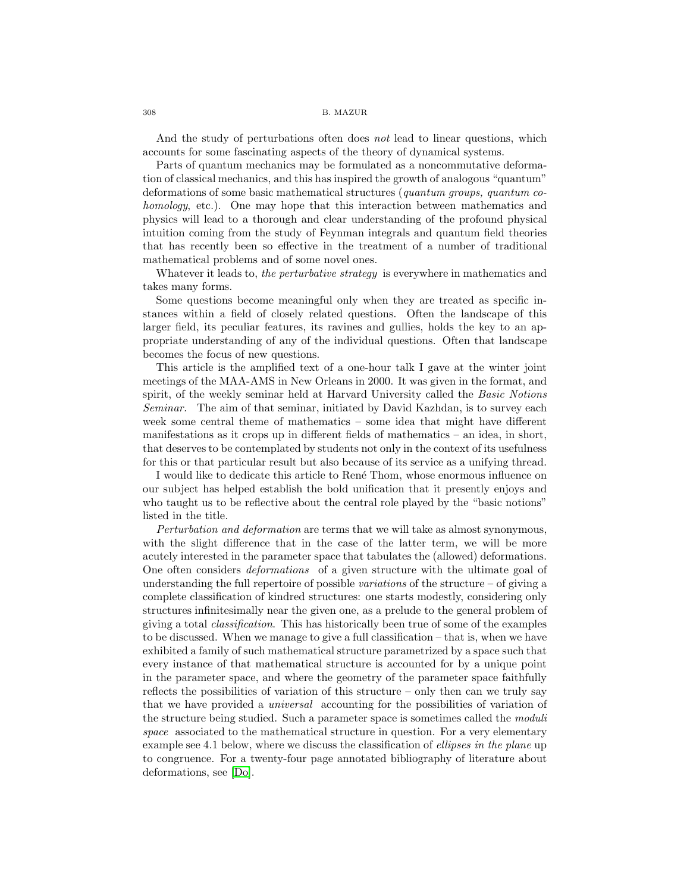And the study of perturbations often does *not* lead to linear questions, which accounts for some fascinating aspects of the theory of dynamical systems.

Parts of quantum mechanics may be formulated as a noncommutative deformation of classical mechanics, and this has inspired the growth of analogous "quantum" deformations of some basic mathematical structures (quantum groups, quantum cohomology, etc.). One may hope that this interaction between mathematics and physics will lead to a thorough and clear understanding of the profound physical intuition coming from the study of Feynman integrals and quantum field theories that has recently been so effective in the treatment of a number of traditional mathematical problems and of some novel ones.

Whatever it leads to, the perturbative strategy is everywhere in mathematics and takes many forms.

Some questions become meaningful only when they are treated as specific instances within a field of closely related questions. Often the landscape of this larger field, its peculiar features, its ravines and gullies, holds the key to an appropriate understanding of any of the individual questions. Often that landscape becomes the focus of new questions.

This article is the amplified text of a one-hour talk I gave at the winter joint meetings of the MAA-AMS in New Orleans in 2000. It was given in the format, and spirit, of the weekly seminar held at Harvard University called the Basic Notions Seminar. The aim of that seminar, initiated by David Kazhdan, is to survey each week some central theme of mathematics – some idea that might have different manifestations as it crops up in different fields of mathematics – an idea, in short, that deserves to be contemplated by students not only in the context of its usefulness for this or that particular result but also because of its service as a unifying thread.

I would like to dedicate this article to René Thom, whose enormous influence on our subject has helped establish the bold unification that it presently enjoys and who taught us to be reflective about the central role played by the "basic notions" listed in the title.

Perturbation and deformation are terms that we will take as almost synonymous, with the slight difference that in the case of the latter term, we will be more acutely interested in the parameter space that tabulates the (allowed) deformations. One often considers deformations of a given structure with the ultimate goal of understanding the full repertoire of possible variations of the structure – of giving a complete classification of kindred structures: one starts modestly, considering only structures infinitesimally near the given one, as a prelude to the general problem of giving a total classification. This has historically been true of some of the examples to be discussed. When we manage to give a full classification – that is, when we have exhibited a family of such mathematical structure parametrized by a space such that every instance of that mathematical structure is accounted for by a unique point in the parameter space, and where the geometry of the parameter space faithfully reflects the possibilities of variation of this structure – only then can we truly say that we have provided a universal accounting for the possibilities of variation of the structure being studied. Such a parameter space is sometimes called the moduli space associated to the mathematical structure in question. For a very elementary example see 4.1 below, where we discuss the classification of *ellipses in the plane* up to congruence. For a twenty-four page annotated bibliography of literature about deformations, see [\[Do\]](#page-28-0).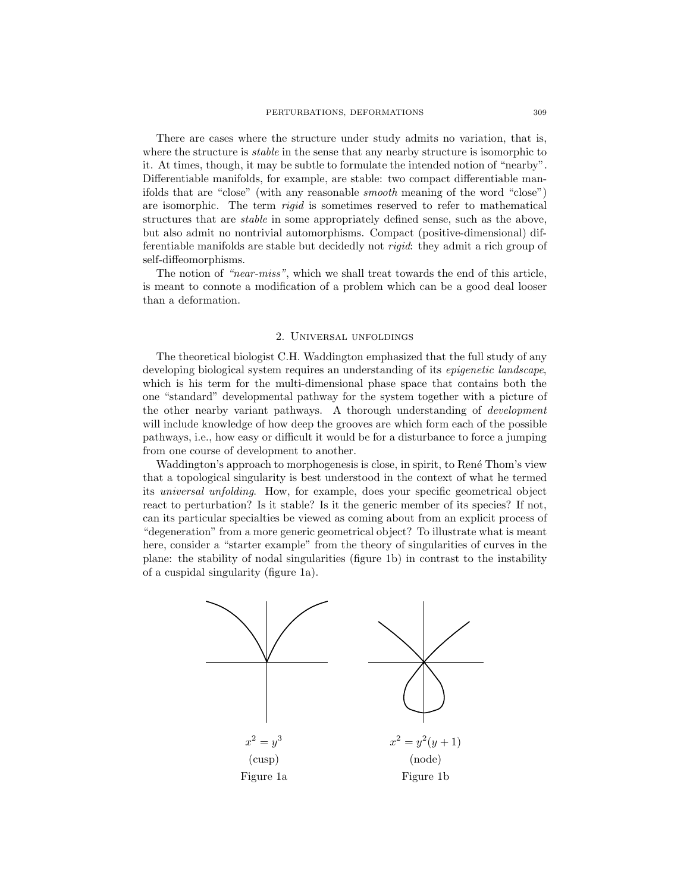There are cases where the structure under study admits no variation, that is, where the structure is *stable* in the sense that any nearby structure is isomorphic to it. At times, though, it may be subtle to formulate the intended notion of "nearby". Differentiable manifolds, for example, are stable: two compact differentiable manifolds that are "close" (with any reasonable smooth meaning of the word "close") are isomorphic. The term rigid is sometimes reserved to refer to mathematical structures that are stable in some appropriately defined sense, such as the above, but also admit no nontrivial automorphisms. Compact (positive-dimensional) differentiable manifolds are stable but decidedly not rigid: they admit a rich group of self-diffeomorphisms.

The notion of "near-miss", which we shall treat towards the end of this article, is meant to connote a modification of a problem which can be a good deal looser than a deformation.

### 2. Universal unfoldings

<span id="page-2-0"></span>The theoretical biologist C.H. Waddington emphasized that the full study of any developing biological system requires an understanding of its epigenetic landscape, which is his term for the multi-dimensional phase space that contains both the one "standard" developmental pathway for the system together with a picture of the other nearby variant pathways. A thorough understanding of development will include knowledge of how deep the grooves are which form each of the possible pathways, i.e., how easy or difficult it would be for a disturbance to force a jumping from one course of development to another.

Waddington's approach to morphogenesis is close, in spirit, to René Thom's view that a topological singularity is best understood in the context of what he termed its universal unfolding. How, for example, does your specific geometrical object react to perturbation? Is it stable? Is it the generic member of its species? If not, can its particular specialties be viewed as coming about from an explicit process of "degeneration" from a more generic geometrical object? To illustrate what is meant here, consider a "starter example" from the theory of singularities of curves in the plane: the stability of nodal singularities (figure 1b) in contrast to the instability of a cuspidal singularity (figure 1a).

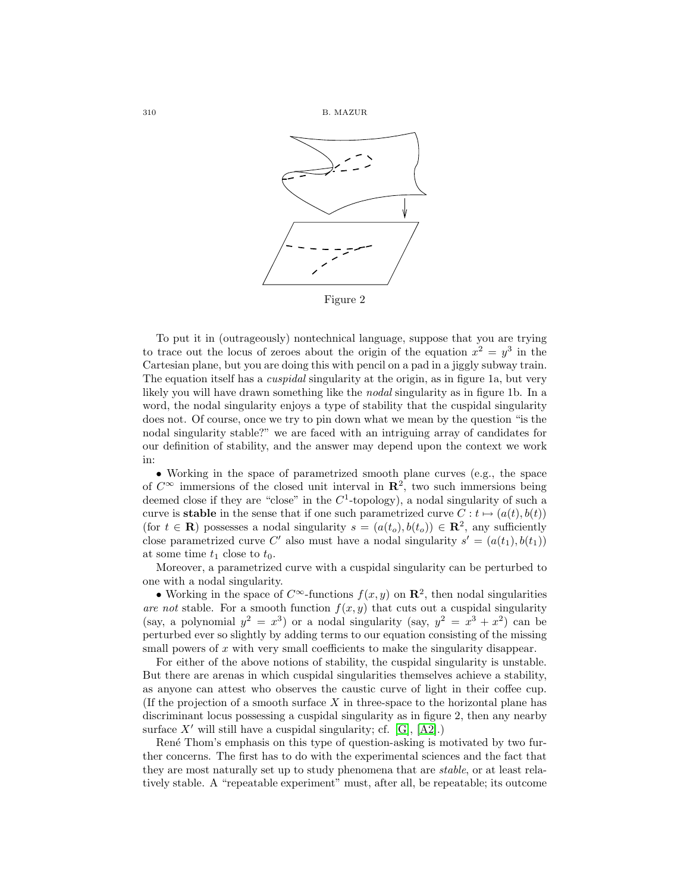

To put it in (outrageously) nontechnical language, suppose that you are trying to trace out the locus of zeroes about the origin of the equation  $x^2 = y^3$  in the Cartesian plane, but you are doing this with pencil on a pad in a jiggly subway train. The equation itself has a *cuspidal* singularity at the origin, as in figure 1a, but very likely you will have drawn something like the *nodal* singularity as in figure 1b. In a word, the nodal singularity enjoys a type of stability that the cuspidal singularity does not. Of course, once we try to pin down what we mean by the question "is the nodal singularity stable?" we are faced with an intriguing array of candidates for our definition of stability, and the answer may depend upon the context we work in:

• Working in the space of parametrized smooth plane curves (e.g., the space of  $C^{\infty}$  immersions of the closed unit interval in  $\mathbb{R}^2$ , two such immersions being deemed close if they are "close" in the  $C^1$ -topology), a nodal singularity of such a curve is **stable** in the sense that if one such parametrized curve  $C : t \mapsto (a(t), b(t))$ (for  $t \in \mathbf{R}$ ) possesses a nodal singularity  $s = (a(t_o), b(t_o)) \in \mathbf{R}^2$ , any sufficiently close parametrized curve C' also must have a nodal singularity  $s' = (a(t_1), b(t_1))$ at some time  $t_1$  close to  $t_0$ .

Moreover, a parametrized curve with a cuspidal singularity can be perturbed to one with a nodal singularity.

• Working in the space of  $C^{\infty}$ -functions  $f(x, y)$  on  $\mathbb{R}^{2}$ , then nodal singularities are not stable. For a smooth function  $f(x, y)$  that cuts out a cuspidal singularity (say, a polynomial  $y^2 = x^3$ ) or a nodal singularity (say,  $y^2 = x^3 + x^2$ ) can be perturbed ever so slightly by adding terms to our equation consisting of the missing small powers of x with very small coefficients to make the singularity disappear.

For either of the above notions of stability, the cuspidal singularity is unstable. But there are arenas in which cuspidal singularities themselves achieve a stability, as anyone can attest who observes the caustic curve of light in their coffee cup. (If the projection of a smooth surface  $X$  in three-space to the horizontal plane has discriminant locus possessing a cuspidal singularity as in figure 2, then any nearby surface X' will still have a cuspidal singularity; cf.  $[G]$ ,  $[A2]$ .)

René Thom's emphasis on this type of question-asking is motivated by two further concerns. The first has to do with the experimental sciences and the fact that they are most naturally set up to study phenomena that are stable, or at least relatively stable. A "repeatable experiment" must, after all, be repeatable; its outcome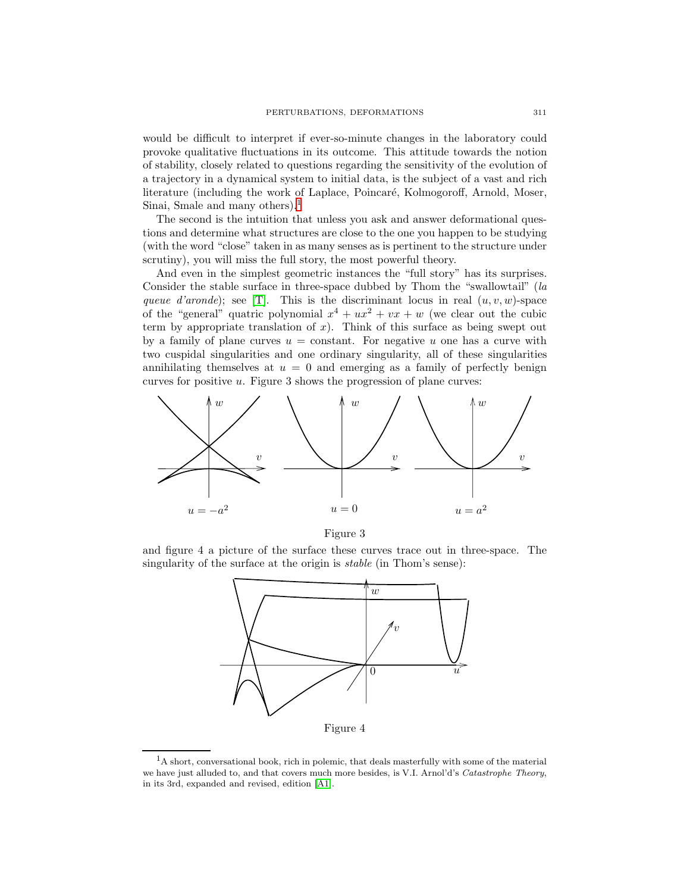would be difficult to interpret if ever-so-minute changes in the laboratory could provoke qualitative fluctuations in its outcome. This attitude towards the notion of stability, closely related to questions regarding the sensitivity of the evolution of a trajectory in a dynamical system to initial data, is the subject of a vast and rich literature (including the work of Laplace, Poincaré, Kolmogoroff, Arnold, Moser, Sinai, Smale and many others).<sup>[1](#page-4-0)</sup>

The second is the intuition that unless you ask and answer deformational questions and determine what structures are close to the one you happen to be studying (with the word "close" taken in as many senses as is pertinent to the structure under scrutiny), you will miss the full story, the most powerful theory.

And even in the simplest geometric instances the "full story" has its surprises. Consider the stable surface in three-space dubbed by Thom the "swallowtail" (la queue d'aronde); see [\[T\]](#page-29-0). This is the discriminant locus in real  $(u, v, w)$ -space of the "general" quatric polynomial  $x^4 + ux^2 + vx + w$  (we clear out the cubic term by appropriate translation of  $x$ ). Think of this surface as being swept out by a family of plane curves  $u = constant$ . For negative u one has a curve with two cuspidal singularities and one ordinary singularity, all of these singularities annihilating themselves at  $u = 0$  and emerging as a family of perfectly benign curves for positive u. Figure 3 shows the progression of plane curves:



Figure 3

and figure 4 a picture of the surface these curves trace out in three-space. The singularity of the surface at the origin is *stable* (in Thom's sense):



<span id="page-4-0"></span><sup>&</sup>lt;sup>1</sup>A short, conversational book, rich in polemic, that deals masterfully with some of the material we have just alluded to, and that covers much more besides, is V.I. Arnol'd's Catastrophe Theory, in its 3rd, expanded and revised, edition [\[A1\]](#page-27-2).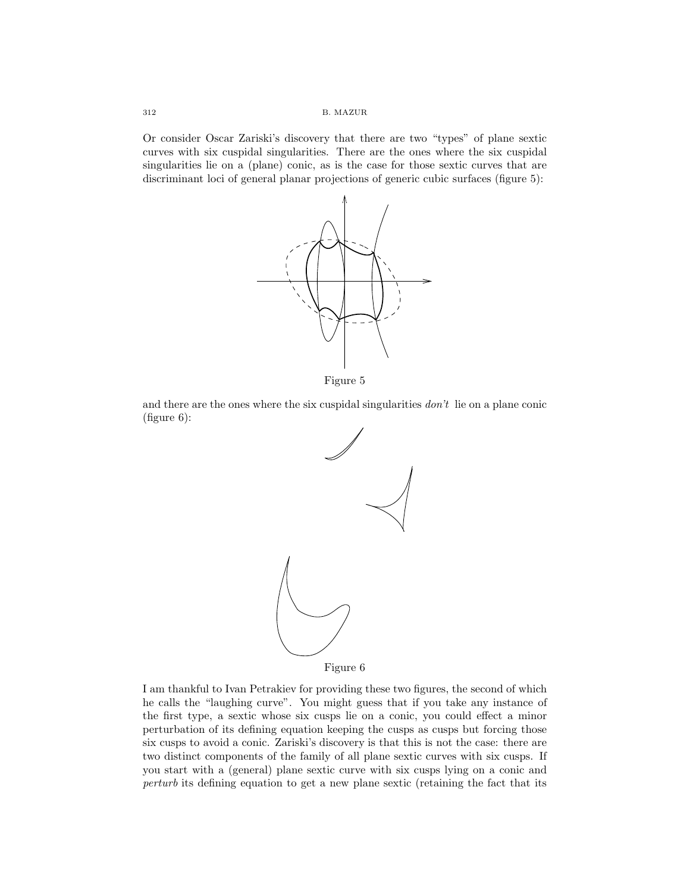Or consider Oscar Zariski's discovery that there are two "types" of plane sextic curves with six cuspidal singularities. There are the ones where the six cuspidal singularities lie on a (plane) conic, as is the case for those sextic curves that are discriminant loci of general planar projections of generic cubic surfaces (figure 5):



Figure 5

and there are the ones where the six cuspidal singularities don't lie on a plane conic (figure 6):



I am thankful to Ivan Petrakiev for providing these two figures, the second of which he calls the "laughing curve". You might guess that if you take any instance of the first type, a sextic whose six cusps lie on a conic, you could effect a minor perturbation of its defining equation keeping the cusps as cusps but forcing those six cusps to avoid a conic. Zariski's discovery is that this is not the case: there are two distinct components of the family of all plane sextic curves with six cusps. If you start with a (general) plane sextic curve with six cusps lying on a conic and perturb its defining equation to get a new plane sextic (retaining the fact that its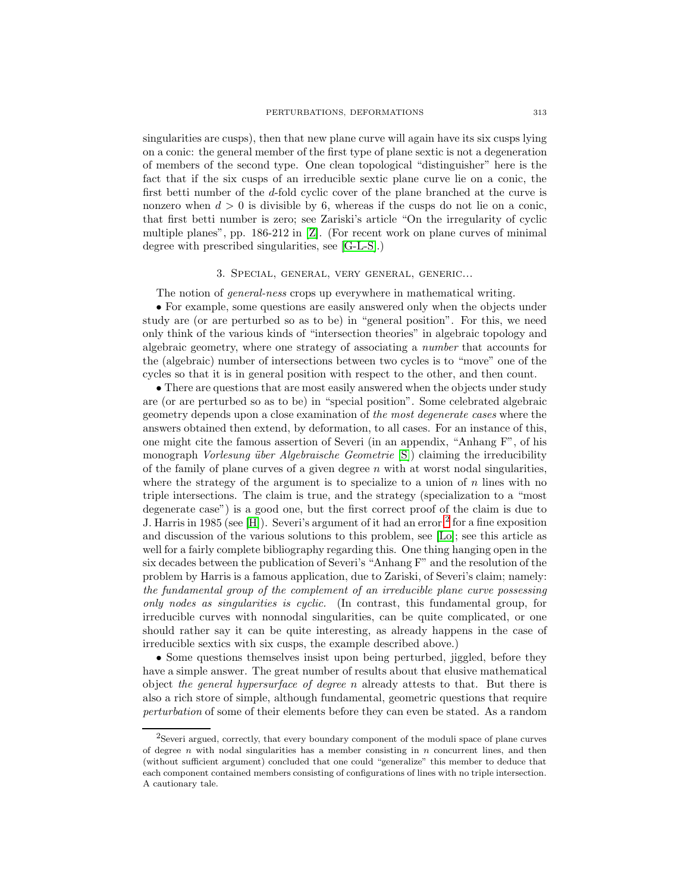singularities are cusps), then that new plane curve will again have its six cusps lying on a conic: the general member of the first type of plane sextic is not a degeneration of members of the second type. One clean topological "distinguisher" here is the fact that if the six cusps of an irreducible sextic plane curve lie on a conic, the first betti number of the d-fold cyclic cover of the plane branched at the curve is nonzero when  $d > 0$  is divisible by 6, whereas if the cusps do not lie on a conic, that first betti number is zero; see Zariski's article "On the irregularity of cyclic multiple planes", pp. 186-212 in [\[Z\]](#page-29-1). (For recent work on plane curves of minimal degree with prescribed singularities, see [\[G-L-S\]](#page-28-2).)

## 3. Special, general, very general, generic...

The notion of *general-ness* crops up everywhere in mathematical writing.

<span id="page-6-0"></span>• For example, some questions are easily answered only when the objects under study are (or are perturbed so as to be) in "general position". For this, we need only think of the various kinds of "intersection theories" in algebraic topology and algebraic geometry, where one strategy of associating a number that accounts for the (algebraic) number of intersections between two cycles is to "move" one of the cycles so that it is in general position with respect to the other, and then count.

• There are questions that are most easily answered when the objects under study are (or are perturbed so as to be) in "special position". Some celebrated algebraic geometry depends upon a close examination of the most degenerate cases where the answers obtained then extend, by deformation, to all cases. For an instance of this, one might cite the famous assertion of Severi (in an appendix, "Anhang F", of his monograph *Vorlesung über Algebraische Geometrie*  $|S|$ ) claiming the irreducibility of the family of plane curves of a given degree  $n$  with at worst nodal singularities, where the strategy of the argument is to specialize to a union of  $n$  lines with no triple intersections. The claim is true, and the strategy (specialization to a "most degenerate case") is a good one, but the first correct proof of the claim is due to J. Harris in 1985 (see [\[H\]](#page-28-4)). Severi's argument of it had an error;[2](#page-6-1) for a fine exposition and discussion of the various solutions to this problem, see [\[Lo\]](#page-28-5); see this article as well for a fairly complete bibliography regarding this. One thing hanging open in the six decades between the publication of Severi's "Anhang F" and the resolution of the problem by Harris is a famous application, due to Zariski, of Severi's claim; namely: the fundamental group of the complement of an irreducible plane curve possessing only nodes as singularities is cyclic. (In contrast, this fundamental group, for irreducible curves with nonnodal singularities, can be quite complicated, or one should rather say it can be quite interesting, as already happens in the case of irreducible sextics with six cusps, the example described above.)

• Some questions themselves insist upon being perturbed, jiggled, before they have a simple answer. The great number of results about that elusive mathematical object the general hypersurface of degree n already attests to that. But there is also a rich store of simple, although fundamental, geometric questions that require perturbation of some of their elements before they can even be stated. As a random

<span id="page-6-1"></span><sup>&</sup>lt;sup>2</sup>Severi argued, correctly, that every boundary component of the moduli space of plane curves of degree  $n$  with nodal singularities has a member consisting in  $n$  concurrent lines, and then (without sufficient argument) concluded that one could "generalize" this member to deduce that each component contained members consisting of configurations of lines with no triple intersection. A cautionary tale.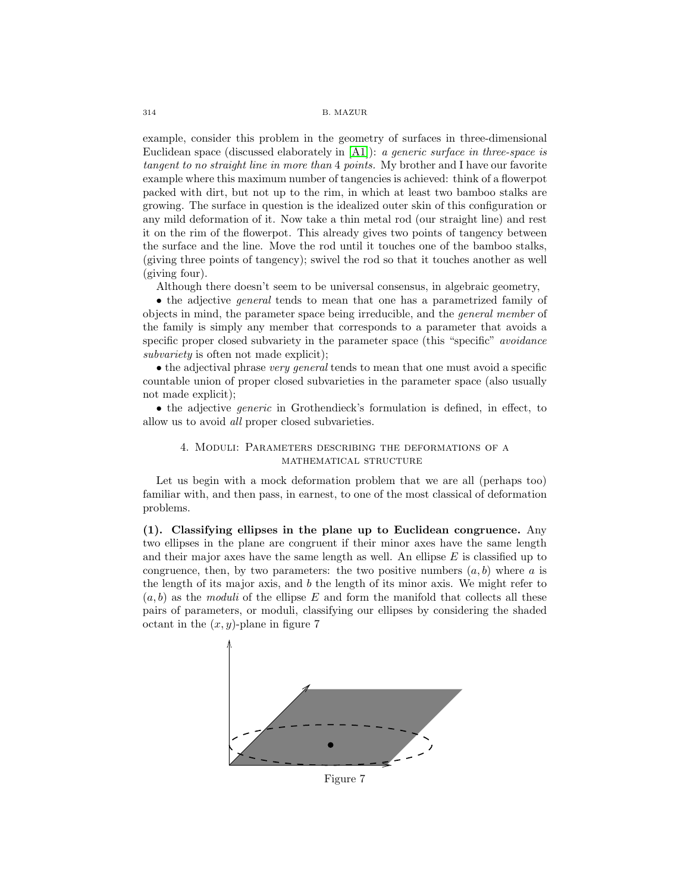example, consider this problem in the geometry of surfaces in three-dimensional Euclidean space (discussed elaborately in [\[A1\]](#page-27-2)): a generic surface in three-space is tangent to no straight line in more than 4 points. My brother and I have our favorite example where this maximum number of tangencies is achieved: think of a flowerpot packed with dirt, but not up to the rim, in which at least two bamboo stalks are growing. The surface in question is the idealized outer skin of this configuration or any mild deformation of it. Now take a thin metal rod (our straight line) and rest it on the rim of the flowerpot. This already gives two points of tangency between the surface and the line. Move the rod until it touches one of the bamboo stalks, (giving three points of tangency); swivel the rod so that it touches another as well (giving four).

Although there doesn't seem to be universal consensus, in algebraic geometry,

• the adjective *general* tends to mean that one has a parametrized family of objects in mind, the parameter space being irreducible, and the general member of the family is simply any member that corresponds to a parameter that avoids a specific proper closed subvariety in the parameter space (this "specific" *avoidance* subvariety is often not made explicit);

• the adjectival phrase very general tends to mean that one must avoid a specific countable union of proper closed subvarieties in the parameter space (also usually not made explicit);

<span id="page-7-0"></span>• the adjective *generic* in Grothendieck's formulation is defined, in effect, to allow us to avoid all proper closed subvarieties.

## 4. Moduli: Parameters describing the deformations of a mathematical structure

Let us begin with a mock deformation problem that we are all (perhaps too) familiar with, and then pass, in earnest, to one of the most classical of deformation problems.

<span id="page-7-1"></span>**(1). Classifying ellipses in the plane up to Euclidean congruence.** Any two ellipses in the plane are congruent if their minor axes have the same length and their major axes have the same length as well. An ellipse  $E$  is classified up to congruence, then, by two parameters: the two positive numbers  $(a, b)$  where a is the length of its major axis, and b the length of its minor axis. We might refer to  $(a, b)$  as the moduli of the ellipse E and form the manifold that collects all these pairs of parameters, or moduli, classifying our ellipses by considering the shaded octant in the  $(x, y)$ -plane in figure 7

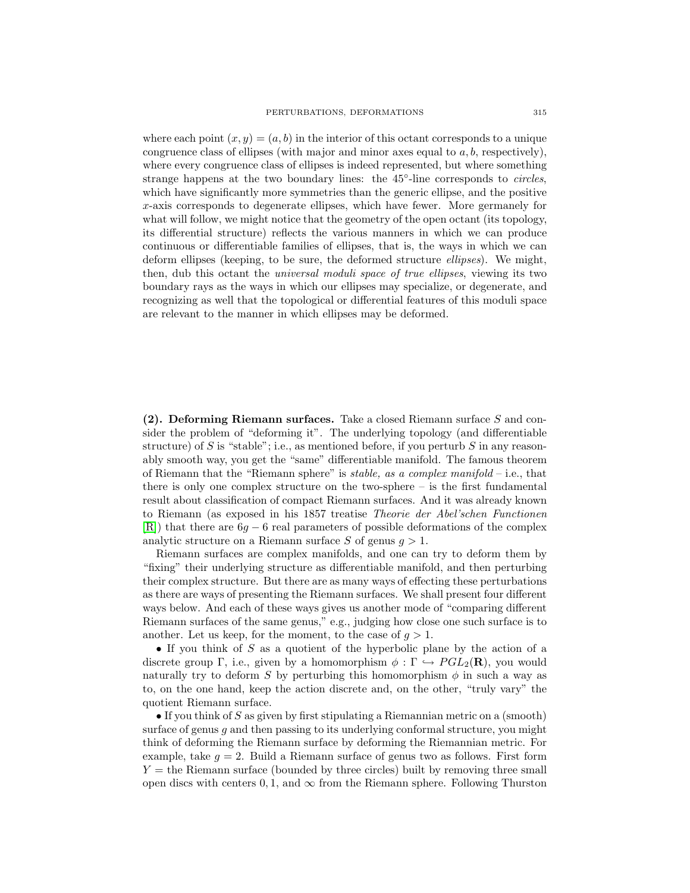where each point  $(x, y)=(a, b)$  in the interior of this octant corresponds to a unique congruence class of ellipses (with major and minor axes equal to  $a, b$ , respectively), where every congruence class of ellipses is indeed represented, but where something strange happens at the two boundary lines: the 45°-line corresponds to *circles*, which have significantly more symmetries than the generic ellipse, and the positive x-axis corresponds to degenerate ellipses, which have fewer. More germanely for what will follow, we might notice that the geometry of the open octant (its topology, its differential structure) reflects the various manners in which we can produce continuous or differentiable families of ellipses, that is, the ways in which we can deform ellipses (keeping, to be sure, the deformed structure ellipses). We might, then, dub this octant the universal moduli space of true ellipses, viewing its two boundary rays as the ways in which our ellipses may specialize, or degenerate, and recognizing as well that the topological or differential features of this moduli space are relevant to the manner in which ellipses may be deformed.

<span id="page-8-0"></span>**(2). Deforming Riemann surfaces.** Take a closed Riemann surface S and consider the problem of "deforming it". The underlying topology (and differentiable structure) of S is "stable"; i.e., as mentioned before, if you perturb S in any reasonably smooth way, you get the "same" differentiable manifold. The famous theorem of Riemann that the "Riemann sphere" is *stable, as a complex manifold* – i.e., that there is only one complex structure on the two-sphere – is the first fundamental result about classification of compact Riemann surfaces. And it was already known to Riemann (as exposed in his 1857 treatise Theorie der Abel'schen Functionen  $[R]$ ) that there are  $6q - 6$  real parameters of possible deformations of the complex analytic structure on a Riemann surface S of genus  $q > 1$ .

Riemann surfaces are complex manifolds, and one can try to deform them by "fixing" their underlying structure as differentiable manifold, and then perturbing their complex structure. But there are as many ways of effecting these perturbations as there are ways of presenting the Riemann surfaces. We shall present four different ways below. And each of these ways gives us another mode of "comparing different Riemann surfaces of the same genus," e.g., judging how close one such surface is to another. Let us keep, for the moment, to the case of  $q > 1$ .

• If you think of S as a quotient of the hyperbolic plane by the action of a discrete group  $\Gamma$ , i.e., given by a homomorphism  $\phi : \Gamma \hookrightarrow PGL_2(\mathbf{R})$ , you would naturally try to deform S by perturbing this homomorphism  $\phi$  in such a way as to, on the one hand, keep the action discrete and, on the other, "truly vary" the quotient Riemann surface.

• If you think of S as given by first stipulating a Riemannian metric on a (smooth) surface of genus  $q$  and then passing to its underlying conformal structure, you might think of deforming the Riemann surface by deforming the Riemannian metric. For example, take  $g = 2$ . Build a Riemann surface of genus two as follows. First form  $Y =$  the Riemann surface (bounded by three circles) built by removing three small open discs with centers  $0, 1$ , and  $\infty$  from the Riemann sphere. Following Thurston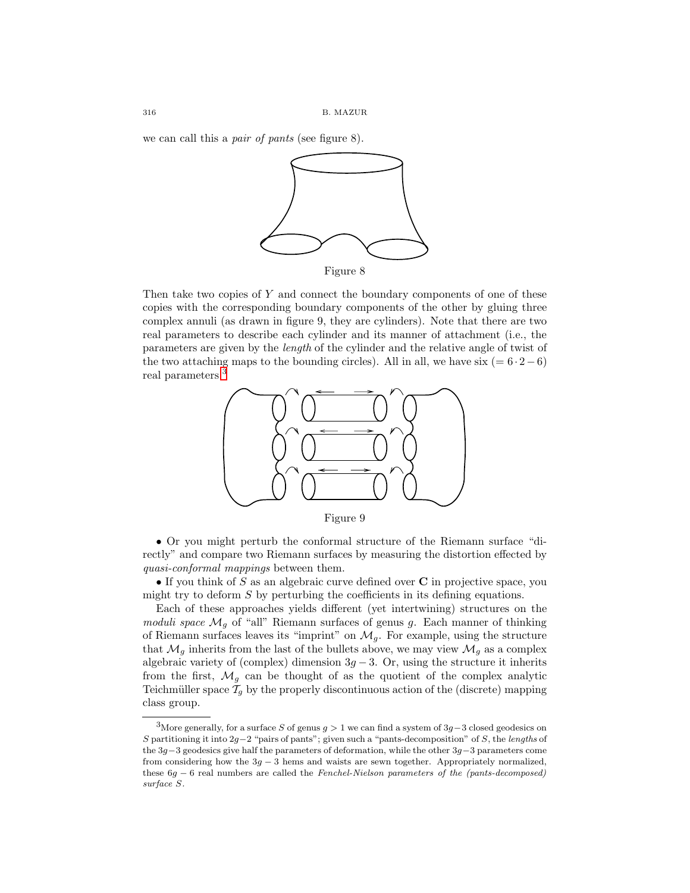we can call this a *pair of pants* (see figure 8).



Figure 8

Then take two copies of Y and connect the boundary components of one of these copies with the corresponding boundary components of the other by gluing three complex annuli (as drawn in figure 9, they are cylinders). Note that there are two real parameters to describe each cylinder and its manner of attachment (i.e., the parameters are given by the length of the cylinder and the relative angle of twist of the two attaching maps to the bounding circles). All in all, we have six (=  $6 \cdot 2 - 6$ ) real parameters.<sup>[3](#page-9-0)</sup>



Figure 9

• Or you might perturb the conformal structure of the Riemann surface "directly" and compare two Riemann surfaces by measuring the distortion effected by quasi-conformal mappings between them.

• If you think of S as an algebraic curve defined over **C** in projective space, you might try to deform  $S$  by perturbing the coefficients in its defining equations.

Each of these approaches yields different (yet intertwining) structures on the moduli space  $\mathcal{M}_q$  of "all" Riemann surfaces of genus g. Each manner of thinking of Riemann surfaces leaves its "imprint" on  $\mathcal{M}_g$ . For example, using the structure that  $\mathcal{M}_g$  inherits from the last of the bullets above, we may view  $\mathcal{M}_g$  as a complex algebraic variety of (complex) dimension  $3g - 3$ . Or, using the structure it inherits from the first,  $\mathcal{M}_g$  can be thought of as the quotient of the complex analytic Teichmüller space  $\mathcal{T}_g$  by the properly discontinuous action of the (discrete) mapping class group.

<span id="page-9-0"></span><sup>&</sup>lt;sup>3</sup>More generally, for a surface S of genus  $g > 1$  we can find a system of  $3g-3$  closed geodesics on S partitioning it into  $2g-2$  "pairs of pants"; given such a "pants-decomposition" of S, the lengths of the 3g−3 geodesics give half the parameters of deformation, while the other 3g−3 parameters come from considering how the  $3g - 3$  hems and waists are sewn together. Appropriately normalized, these  $6g - 6$  real numbers are called the Fenchel-Nielson parameters of the (pants-decomposed) surface S.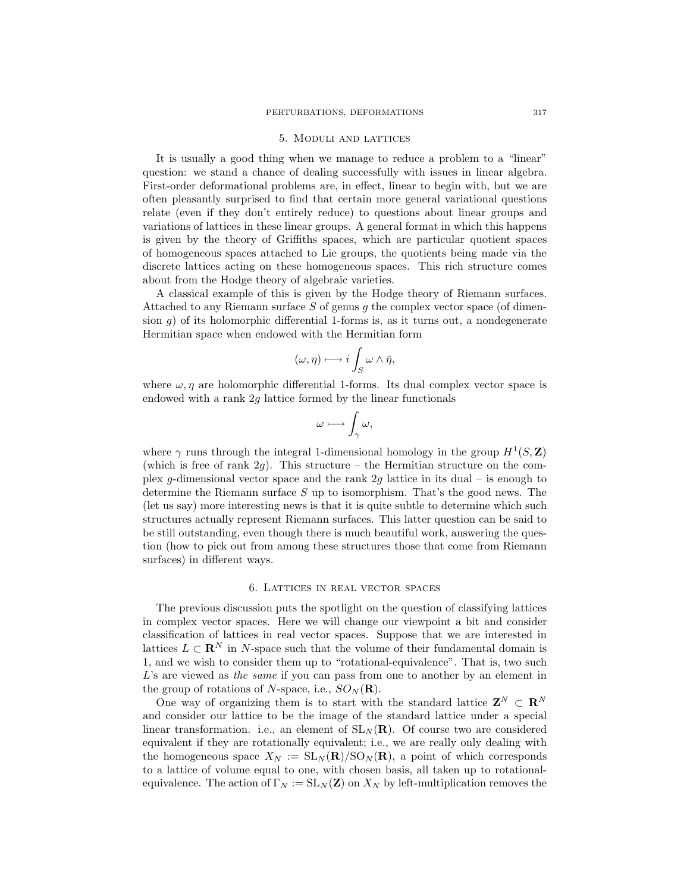#### 5. Moduli and lattices

<span id="page-10-0"></span>It is usually a good thing when we manage to reduce a problem to a "linear" question: we stand a chance of dealing successfully with issues in linear algebra. First-order deformational problems are, in effect, linear to begin with, but we are often pleasantly surprised to find that certain more general variational questions relate (even if they don't entirely reduce) to questions about linear groups and variations of lattices in these linear groups. A general format in which this happens is given by the theory of Griffiths spaces, which are particular quotient spaces of homogeneous spaces attached to Lie groups, the quotients being made via the discrete lattices acting on these homogeneous spaces. This rich structure comes about from the Hodge theory of algebraic varieties.

A classical example of this is given by the Hodge theory of Riemann surfaces. Attached to any Riemann surface  $S$  of genus  $g$  the complex vector space (of dimension  $g$ ) of its holomorphic differential 1-forms is, as it turns out, a nondegenerate Hermitian space when endowed with the Hermitian form

$$
(\omega, \eta) \longmapsto i \int_{S} \omega \wedge \bar{\eta},
$$

where  $\omega$ ,  $\eta$  are holomorphic differential 1-forms. Its dual complex vector space is endowed with a rank  $2q$  lattice formed by the linear functionals

$$
\omega\longmapsto \int_{\gamma}\omega,
$$

where  $\gamma$  runs through the integral 1-dimensional homology in the group  $H^1(S, \mathbf{Z})$ (which is free of rank  $2g$ ). This structure – the Hermitian structure on the complex g-dimensional vector space and the rank 2g lattice in its dual – is enough to determine the Riemann surface S up to isomorphism. That's the good news. The (let us say) more interesting news is that it is quite subtle to determine which such structures actually represent Riemann surfaces. This latter question can be said to be still outstanding, even though there is much beautiful work, answering the question (how to pick out from among these structures those that come from Riemann surfaces) in different ways.

### 6. Lattices in real vector spaces

<span id="page-10-1"></span>The previous discussion puts the spotlight on the question of classifying lattices in complex vector spaces. Here we will change our viewpoint a bit and consider classification of lattices in real vector spaces. Suppose that we are interested in lattices  $L \subset \mathbb{R}^N$  in N-space such that the volume of their fundamental domain is 1, and we wish to consider them up to "rotational-equivalence". That is, two such L's are viewed as the same if you can pass from one to another by an element in the group of rotations of N-space, i.e.,  $SO_N(\mathbf{R})$ .

One way of organizing them is to start with the standard lattice  $\mathbf{Z}^N \subset \mathbf{R}^N$ and consider our lattice to be the image of the standard lattice under a special linear transformation. i.e., an element of  $SL_N(\mathbf{R})$ . Of course two are considered equivalent if they are rotationally equivalent; i.e., we are really only dealing with the homogeneous space  $X_N := SL_N(\mathbf{R})/SO_N(\mathbf{R})$ , a point of which corresponds to a lattice of volume equal to one, with chosen basis, all taken up to rotationalequivalence. The action of  $\Gamma_N := SL_N(\mathbf{Z})$  on  $X_N$  by left-multiplication removes the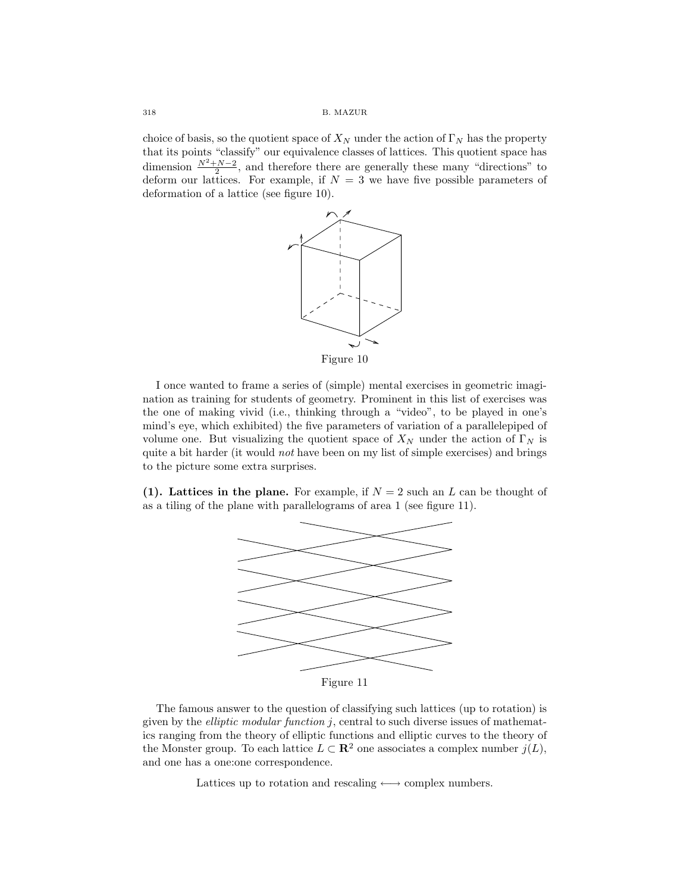choice of basis, so the quotient space of  $X_N$  under the action of  $\Gamma_N$  has the property that its points "classify" our equivalence classes of lattices. This quotient space has dimension  $\frac{N^2+N-2}{2}$ , and therefore there are generally these many "directions" to deform our lattices. For example, if  $N = 3$  we have five possible parameters of deformation of a lattice (see figure 10).



I once wanted to frame a series of (simple) mental exercises in geometric imagination as training for students of geometry. Prominent in this list of exercises was the one of making vivid (i.e., thinking through a "video", to be played in one's mind's eye, which exhibited) the five parameters of variation of a parallelepiped of volume one. But visualizing the quotient space of  $X_N$  under the action of  $\Gamma_N$  is quite a bit harder (it would *not* have been on my list of simple exercises) and brings to the picture some extra surprises.

<span id="page-11-0"></span>(1). Lattices in the plane. For example, if  $N = 2$  such an L can be thought of as a tiling of the plane with parallelograms of area 1 (see figure 11).



Figure 11

The famous answer to the question of classifying such lattices (up to rotation) is given by the *elliptic modular function*  $j$ , central to such diverse issues of mathematics ranging from the theory of elliptic functions and elliptic curves to the theory of the Monster group. To each lattice  $L \subset \mathbb{R}^2$  one associates a complex number  $j(L)$ , and one has a one:one correspondence.

Lattices up to rotation and rescaling  $\longleftrightarrow$  complex numbers.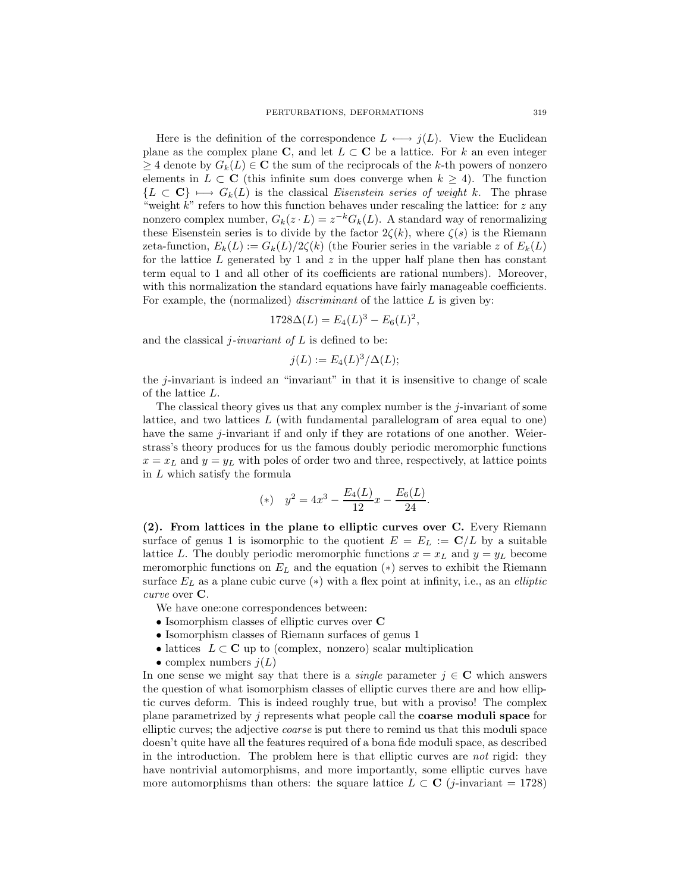Here is the definition of the correspondence  $L \leftrightarrow j(L)$ . View the Euclidean plane as the complex plane **C**, and let  $L \subset \mathbb{C}$  be a lattice. For k an even integer  $\geq 4$  denote by  $G_k(L) \in \mathbb{C}$  the sum of the reciprocals of the k-th powers of nonzero elements in  $L \subset \mathbb{C}$  (this infinite sum does converge when  $k \geq 4$ ). The function  ${L \subset \mathbf{C}} \longmapsto G_k(L)$  is the classical Eisenstein series of weight k. The phrase "weight  $k$ " refers to how this function behaves under rescaling the lattice: for  $z$  any nonzero complex number,  $G_k(z \cdot L) = z^{-k} G_k(L)$ . A standard way of renormalizing these Eisenstein series is to divide by the factor  $2\zeta(k)$ , where  $\zeta(s)$  is the Riemann zeta-function,  $E_k(L) := G_k(L)/2\zeta(k)$  (the Fourier series in the variable z of  $E_k(L)$ ) for the lattice  $L$  generated by 1 and  $z$  in the upper half plane then has constant term equal to 1 and all other of its coefficients are rational numbers). Moreover, with this normalization the standard equations have fairly manageable coefficients. For example, the (normalized) *discriminant* of the lattice  $L$  is given by:

$$
1728\Delta(L) = E_4(L)^3 - E_6(L)^2,
$$

and the classical j-invariant of  $L$  is defined to be:

$$
j(L) := E_4(L)^3/\Delta(L);
$$

the  $j$ -invariant is indeed an "invariant" in that it is insensitive to change of scale of the lattice L.

The classical theory gives us that any complex number is the j-invariant of some lattice, and two lattices  $L$  (with fundamental parallelogram of area equal to one) have the same j-invariant if and only if they are rotations of one another. Weierstrass's theory produces for us the famous doubly periodic meromorphic functions  $x = x_L$  and  $y = y_L$  with poles of order two and three, respectively, at lattice points in L which satisfy the formula

(\*) 
$$
y^2 = 4x^3 - \frac{E_4(L)}{12}x - \frac{E_6(L)}{24}
$$
.

<span id="page-12-0"></span>**(2). From lattices in the plane to elliptic curves over C.** Every Riemann surface of genus 1 is isomorphic to the quotient  $E = E_L := \mathbb{C}/L$  by a suitable lattice L. The doubly periodic meromorphic functions  $x = x<sub>L</sub>$  and  $y = y<sub>L</sub>$  become meromorphic functions on  $E<sub>L</sub>$  and the equation (\*) serves to exhibit the Riemann surface  $E<sub>L</sub>$  as a plane cubic curve (\*) with a flex point at infinity, i.e., as an *elliptic* curve over **C**.

We have one:one correspondences between:

- Isomorphism classes of elliptic curves over **C**
- Isomorphism classes of Riemann surfaces of genus 1
- lattices L ⊂ **C** up to (complex, nonzero) scalar multiplication
- complex numbers  $j(L)$

In one sense we might say that there is a *single* parameter  $j \in \mathbb{C}$  which answers the question of what isomorphism classes of elliptic curves there are and how elliptic curves deform. This is indeed roughly true, but with a proviso! The complex plane parametrized by j represents what people call the **coarse moduli space** for elliptic curves; the adjective coarse is put there to remind us that this moduli space doesn't quite have all the features required of a bona fide moduli space, as described in the introduction. The problem here is that elliptic curves are not rigid: they have nontrivial automorphisms, and more importantly, some elliptic curves have more automorphisms than others: the square lattice  $L \subset \mathbb{C}$  (j-invariant = 1728)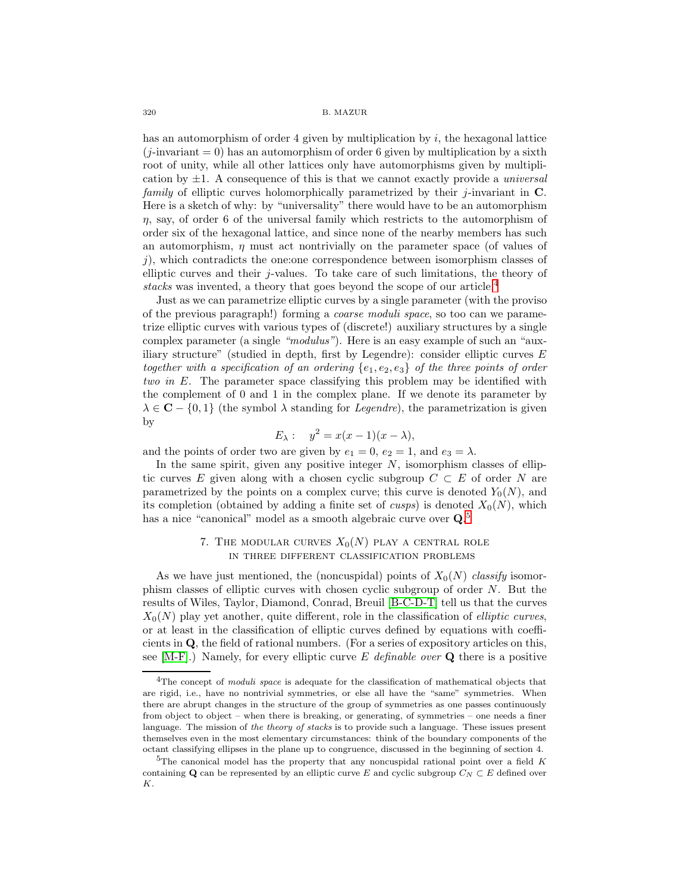has an automorphism of order 4 given by multiplication by  $i$ , the hexagonal lattice  $(j\text{-invariant} = 0)$  has an automorphism of order 6 given by multiplication by a sixth root of unity, while all other lattices only have automorphisms given by multiplication by  $\pm 1$ . A consequence of this is that we cannot exactly provide a *universal* family of elliptic curves holomorphically parametrized by their j-invariant in **C**. Here is a sketch of why: by "universality" there would have to be an automorphism  $\eta$ , say, of order 6 of the universal family which restricts to the automorphism of order six of the hexagonal lattice, and since none of the nearby members has such an automorphism,  $\eta$  must act nontrivially on the parameter space (of values of  $j$ ), which contradicts the one: one correspondence between isomorphism classes of elliptic curves and their  $j$ -values. To take care of such limitations, the theory of stacks was invented, a theory that goes beyond the scope of our article.<sup>[4](#page-13-1)</sup>

Just as we can parametrize elliptic curves by a single parameter (with the proviso of the previous paragraph!) forming a coarse moduli space, so too can we parametrize elliptic curves with various types of (discrete!) auxiliary structures by a single complex parameter (a single "modulus"). Here is an easy example of such an "auxiliary structure" (studied in depth, first by Legendre): consider elliptic curves  $E$ together with a specification of an ordering  $\{e_1, e_2, e_3\}$  of the three points of order two in E. The parameter space classifying this problem may be identified with the complement of 0 and 1 in the complex plane. If we denote its parameter by  $\lambda \in \mathbf{C} - \{0,1\}$  (the symbol  $\lambda$  standing for *Legendre*), the parametrization is given by

$$
E_{\lambda}: y^2 = x(x-1)(x - \lambda),
$$

and the points of order two are given by  $e_1 = 0$ ,  $e_2 = 1$ , and  $e_3 = \lambda$ .

In the same spirit, given any positive integer  $N$ , isomorphism classes of elliptic curves E given along with a chosen cyclic subgroup  $C \subset E$  of order N are parametrized by the points on a complex curve; this curve is denoted  $Y_0(N)$ , and its completion (obtained by adding a finite set of *cusps*) is denoted  $X_0(N)$ , which has a nice "canonical" model as a smooth algebraic curve over **Q**. [5](#page-13-2)

## 7. THE MODULAR CURVES  $X_0(N)$  play a central role in three different classification problems

<span id="page-13-0"></span>As we have just mentioned, the (noncuspidal) points of  $X_0(N)$  classify isomorphism classes of elliptic curves with chosen cyclic subgroup of order N. But the results of Wiles, Taylor, Diamond, Conrad, Breuil [\[B-C-D-T\]](#page-27-3) tell us that the curves  $X_0(N)$  play yet another, quite different, role in the classification of *elliptic curves*, or at least in the classification of elliptic curves defined by equations with coefficients in **Q**, the field of rational numbers. (For a series of expository articles on this, see [\[M-F\]](#page-28-7).) Namely, for every elliptic curve E definable over **Q** there is a positive

<span id="page-13-1"></span><sup>&</sup>lt;sup>4</sup>The concept of *moduli space* is adequate for the classification of mathematical objects that are rigid, i.e., have no nontrivial symmetries, or else all have the "same" symmetries. When there are abrupt changes in the structure of the group of symmetries as one passes continuously from object to object – when there is breaking, or generating, of symmetries – one needs a finer language. The mission of the theory of stacks is to provide such a language. These issues present themselves even in the most elementary circumstances: think of the boundary components of the octant classifying ellipses in the plane up to congruence, discussed in the beginning of section 4.

<span id="page-13-2"></span> $5$ The canonical model has the property that any noncuspidal rational point over a field K containing **Q** can be represented by an elliptic curve E and cyclic subgroup  $C_N \subset E$  defined over K.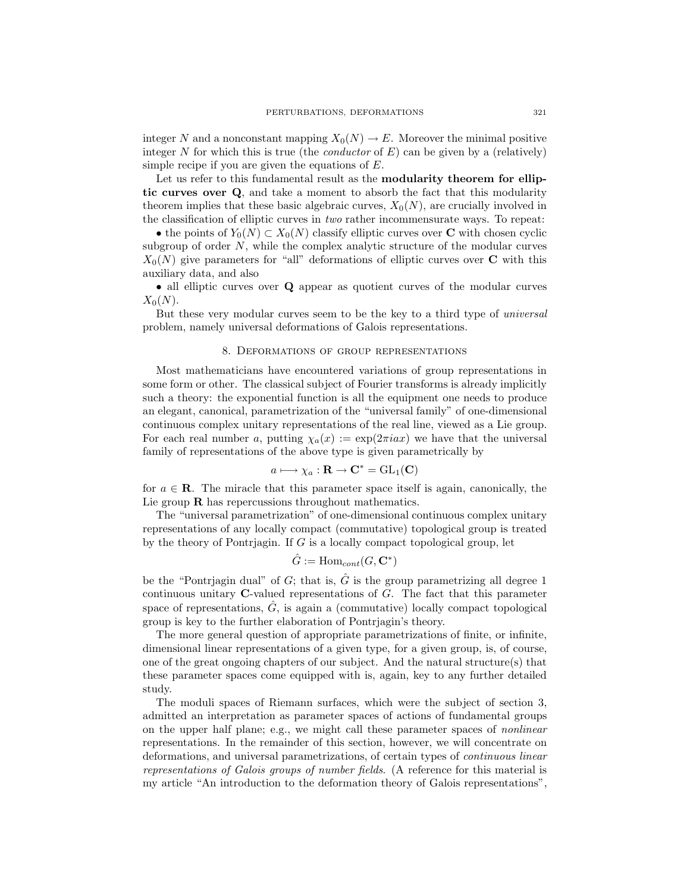integer N and a nonconstant mapping  $X_0(N) \to E$ . Moreover the minimal positive integer N for which this is true (the *conductor* of  $E$ ) can be given by a (relatively) simple recipe if you are given the equations of  $E$ .

Let us refer to this fundamental result as the **modularity theorem for elliptic curves over Q**, and take a moment to absorb the fact that this modularity theorem implies that these basic algebraic curves,  $X_0(N)$ , are crucially involved in the classification of elliptic curves in two rather incommensurate ways. To repeat:

• the points of  $Y_0(N) \subset X_0(N)$  classify elliptic curves over **C** with chosen cyclic subgroup of order  $N$ , while the complex analytic structure of the modular curves  $X_0(N)$  give parameters for "all" deformations of elliptic curves over **C** with this auxiliary data, and also

• all elliptic curves over **Q** appear as quotient curves of the modular curves  $X_0(N)$ .

<span id="page-14-0"></span>But these very modular curves seem to be the key to a third type of universal problem, namely universal deformations of Galois representations.

#### 8. Deformations of group representations

Most mathematicians have encountered variations of group representations in some form or other. The classical subject of Fourier transforms is already implicitly such a theory: the exponential function is all the equipment one needs to produce an elegant, canonical, parametrization of the "universal family" of one-dimensional continuous complex unitary representations of the real line, viewed as a Lie group. For each real number a, putting  $\chi_a(x) := \exp(2\pi i a x)$  we have that the universal family of representations of the above type is given parametrically by

$$
a \longmapsto \chi_a : \mathbf{R} \to \mathbf{C}^* = \mathrm{GL}_1(\mathbf{C})
$$

for  $a \in \mathbf{R}$ . The miracle that this parameter space itself is again, canonically, the Lie group **R** has repercussions throughout mathematics.

The "universal parametrization" of one-dimensional continuous complex unitary representations of any locally compact (commutative) topological group is treated by the theory of Pontriagin. If  $G$  is a locally compact topological group, let

$$
\hat{G} := \operatorname{Hom}_{cont}(G, \mathbf{C}^*)
$$

be the "Pontrjagin dual" of G; that is,  $\hat{G}$  is the group parametrizing all degree 1 continuous unitary **C**-valued representations of G. The fact that this parameter space of representations,  $\tilde{G}$ , is again a (commutative) locally compact topological group is key to the further elaboration of Pontrjagin's theory.

The more general question of appropriate parametrizations of finite, or infinite, dimensional linear representations of a given type, for a given group, is, of course, one of the great ongoing chapters of our subject. And the natural structure(s) that these parameter spaces come equipped with is, again, key to any further detailed study.

The moduli spaces of Riemann surfaces, which were the subject of section 3, admitted an interpretation as parameter spaces of actions of fundamental groups on the upper half plane; e.g., we might call these parameter spaces of nonlinear representations. In the remainder of this section, however, we will concentrate on deformations, and universal parametrizations, of certain types of continuous linear representations of Galois groups of number fields. (A reference for this material is my article "An introduction to the deformation theory of Galois representations",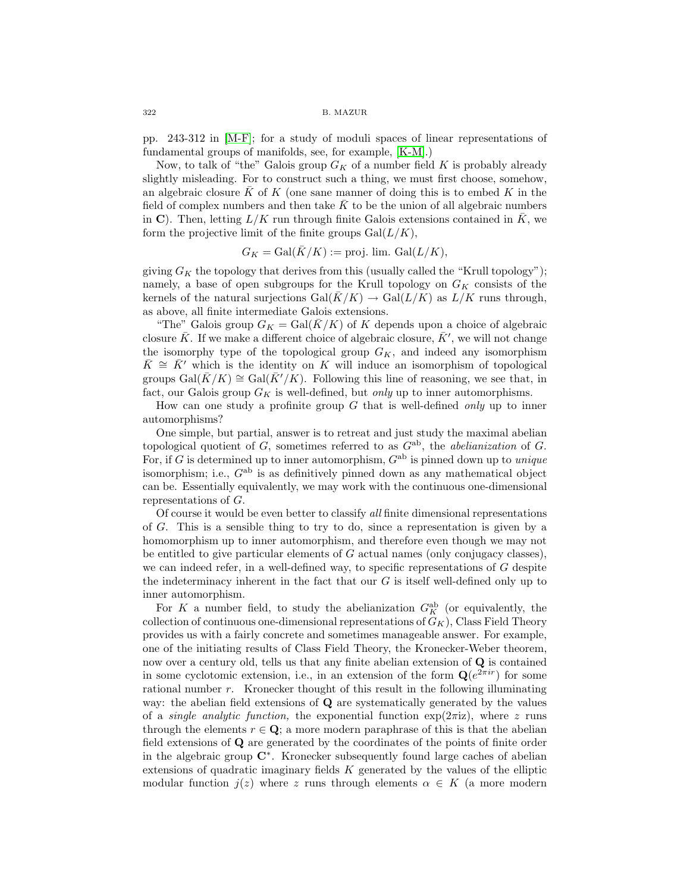pp. 243-312 in [\[M-F\]](#page-28-7); for a study of moduli spaces of linear representations of fundamental groups of manifolds, see, for example, [\[K-M\]](#page-28-8).)

Now, to talk of "the" Galois group  $G_K$  of a number field K is probably already slightly misleading. For to construct such a thing, we must first choose, somehow, an algebraic closure  $\overline{K}$  of K (one sane manner of doing this is to embed K in the field of complex numbers and then take  $\overline{K}$  to be the union of all algebraic numbers in  $\mathbf{C}$ ). Then, letting  $L/K$  run through finite Galois extensions contained in K, we form the projective limit of the finite groups  $Gal(L/K)$ ,

$$
G_K = \text{Gal}(\bar{K}/K) := \text{proj. lim. } \text{Gal}(L/K),
$$

giving  $G_K$  the topology that derives from this (usually called the "Krull topology"); namely, a base of open subgroups for the Krull topology on  $G_K$  consists of the kernels of the natural surjections  $Gal(\bar{K}/K) \rightarrow Gal(L/K)$  as  $L/K$  runs through, as above, all finite intermediate Galois extensions.

"The" Galois group  $G_K = \text{Gal}(K/K)$  of K depends upon a choice of algebraic closure  $\bar{K}$ . If we make a different choice of algebraic closure,  $\bar{K}'$ , we will not change the isomorphy type of the topological group  $G_K$ , and indeed any isomorphism  $\overline{K}$  ≅  $\overline{K}$ <sup> $\prime$ </sup> which is the identity on K will induce an isomorphism of topological groups  $Gal(\bar{K}/K) \cong Gal(\bar{K}'/K)$ . Following this line of reasoning, we see that, in fact, our Galois group  $G_K$  is well-defined, but *only* up to inner automorphisms.

How can one study a profinite group  $G$  that is well-defined *only* up to inner automorphisms?

One simple, but partial, answer is to retreat and just study the maximal abelian topological quotient of  $G$ , sometimes referred to as  $G^{ab}$ , the *abelianization* of  $G$ . For, if G is determined up to inner automorphism,  $G^{ab}$  is pinned down up to *unique* isomorphism; i.e.,  $G^{ab}$  is as definitively pinned down as any mathematical object can be. Essentially equivalently, we may work with the continuous one-dimensional representations of G.

Of course it would be even better to classify all finite dimensional representations of G. This is a sensible thing to try to do, since a representation is given by a homomorphism up to inner automorphism, and therefore even though we may not be entitled to give particular elements of  $G$  actual names (only conjugacy classes), we can indeed refer, in a well-defined way, to specific representations of G despite the indeterminacy inherent in the fact that our  $G$  is itself well-defined only up to inner automorphism.

For K a number field, to study the abelianization  $G_K^{\text{ab}}$  (or equivalently, the collection of continuous one-dimensional representations of  $G_K$ ), Class Field Theory provides us with a fairly concrete and sometimes manageable answer. For example, one of the initiating results of Class Field Theory, the Kronecker-Weber theorem, now over a century old, tells us that any finite abelian extension of **Q** is contained in some cyclotomic extension, i.e., in an extension of the form  $\mathbf{Q}(e^{2\pi i r})$  for some rational number r. Kronecker thought of this result in the following illuminating way: the abelian field extensions of **Q** are systematically generated by the values of a *single analytic function*, the exponential function  $\exp(2\pi i z)$ , where z runs through the elements  $r \in \mathbf{Q}$ ; a more modern paraphrase of this is that the abelian field extensions of **Q** are generated by the coordinates of the points of finite order in the algebraic group **C**<sup>∗</sup>. Kronecker subsequently found large caches of abelian extensions of quadratic imaginary fields  $K$  generated by the values of the elliptic modular function  $j(z)$  where z runs through elements  $\alpha \in K$  (a more modern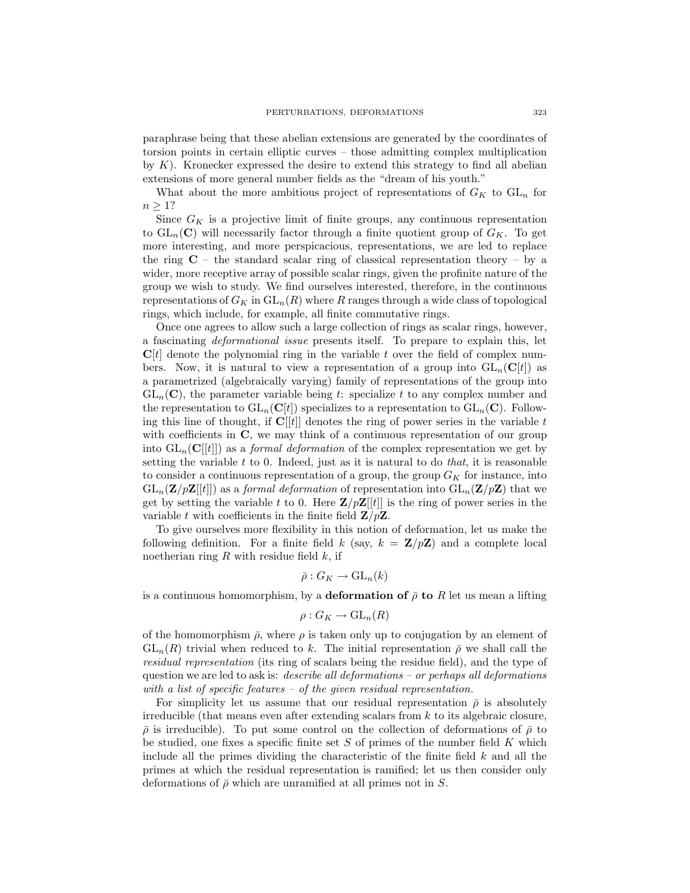paraphrase being that these abelian extensions are generated by the coordinates of torsion points in certain elliptic curves – those admitting complex multiplication by  $K$ ). Kronecker expressed the desire to extend this strategy to find all abelian extensions of more general number fields as the "dream of his youth."

What about the more ambitious project of representations of  $G_K$  to  $GL_n$  for  $n > 1?$ 

Since  $G_K$  is a projective limit of finite groups, any continuous representation to  $GL_n(\mathbb{C})$  will necessarily factor through a finite quotient group of  $G_K$ . To get more interesting, and more perspicacious, representations, we are led to replace the ring  $C$  – the standard scalar ring of classical representation theory – by a wider, more receptive array of possible scalar rings, given the profinite nature of the group we wish to study. We find ourselves interested, therefore, in the continuous representations of  $G_K$  in  $GL_n(R)$  where R ranges through a wide class of topological rings, which include, for example, all finite commutative rings.

Once one agrees to allow such a large collection of rings as scalar rings, however, a fascinating deformational issue presents itself. To prepare to explain this, let  $\mathbf{C}[t]$  denote the polynomial ring in the variable t over the field of complex numbers. Now, it is natural to view a representation of a group into  $GL_n(\mathbf{C}[t])$  as a parametrized (algebraically varying) family of representations of the group into  $GL_n(\mathbb{C})$ , the parameter variable being t: specialize t to any complex number and the representation to  $GL_n(\mathbb{C}[t])$  specializes to a representation to  $GL_n(\mathbb{C})$ . Following this line of thought, if  $\mathbf{C}[[t]]$  denotes the ring of power series in the variable t with coefficients in **C**, we may think of a continuous representation of our group into  $GL_n(\mathbf{C}[[t]])$  as a *formal deformation* of the complex representation we get by setting the variable  $t$  to 0. Indeed, just as it is natural to do *that*, it is reasonable to consider a continuous representation of a group, the group  $G_K$  for instance, into  $GL_n(\mathbf{Z}/p\mathbf{Z}[[t]])$  as a formal deformation of representation into  $GL_n(\mathbf{Z}/p\mathbf{Z})$  that we get by setting the variable t to 0. Here  $\mathbf{Z}/p\mathbf{Z}[[t]]$  is the ring of power series in the variable t with coefficients in the finite field  $\mathbf{Z}/p\mathbf{Z}$ .

To give ourselves more flexibility in this notion of deformation, let us make the following definition. For a finite field k (say,  $k = \mathbf{Z}/p\mathbf{Z}$ ) and a complete local noetherian ring  $R$  with residue field  $k$ , if

$$
\bar{\rho}: G_K \to \mathrm{GL}_n(k)
$$

is a continuous homomorphism, by a **deformation of**  $\bar{\rho}$  **to** R let us mean a lifting

$$
\rho: G_K \to \mathrm{GL}_n(R)
$$

of the homomorphism  $\bar{\rho}$ , where  $\rho$  is taken only up to conjugation by an element of  $GL_n(R)$  trivial when reduced to k. The initial representation  $\bar{\rho}$  we shall call the residual representation (its ring of scalars being the residue field), and the type of question we are led to ask is: *describe all deformations – or perhaps all deformations* with a list of specific features – of the given residual representation.

For simplicity let us assume that our residual representation  $\bar{\rho}$  is absolutely irreducible (that means even after extending scalars from  $k$  to its algebraic closure,  $\bar{\rho}$  is irreducible). To put some control on the collection of deformations of  $\bar{\rho}$  to be studied, one fixes a specific finite set  $S$  of primes of the number field  $K$  which include all the primes dividing the characteristic of the finite field  $k$  and all the primes at which the residual representation is ramified; let us then consider only deformations of  $\bar{\rho}$  which are unramified at all primes not in S.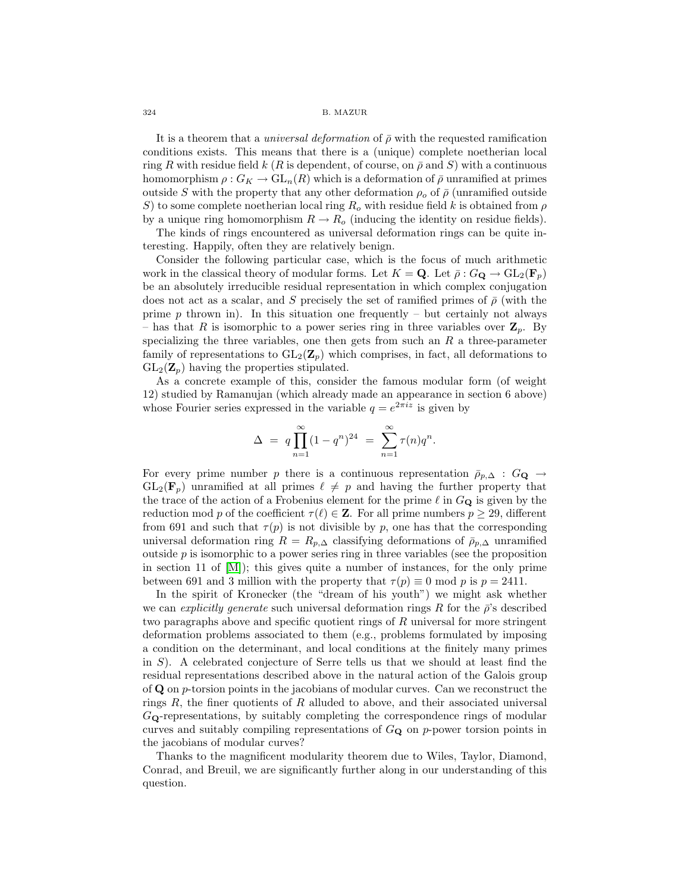It is a theorem that a *universal deformation* of  $\bar{\rho}$  with the requested ramification conditions exists. This means that there is a (unique) complete noetherian local ring R with residue field k (R is dependent, of course, on  $\bar{\rho}$  and S) with a continuous homomorphism  $\rho: G_K \to GL_n(R)$  which is a deformation of  $\overline{\rho}$  unramified at primes outside S with the property that any other deformation  $\rho_o$  of  $\bar{\rho}$  (unramified outside S) to some complete noetherian local ring  $R_o$  with residue field k is obtained from  $\rho$ by a unique ring homomorphism  $R \to R_o$  (inducing the identity on residue fields).

The kinds of rings encountered as universal deformation rings can be quite interesting. Happily, often they are relatively benign.

Consider the following particular case, which is the focus of much arithmetic work in the classical theory of modular forms. Let  $K = \mathbf{Q}$ . Let  $\bar{\rho}: G_{\mathbf{Q}} \to GL_2(\mathbf{F}_p)$ be an absolutely irreducible residual representation in which complex conjugation does not act as a scalar, and S precisely the set of ramified primes of  $\bar{\rho}$  (with the prime  $p$  thrown in). In this situation one frequently – but certainly not always – has that R is isomorphic to a power series ring in three variables over  $\mathbf{Z}_p$ . By specializing the three variables, one then gets from such an  $R$  a three-parameter family of representations to  $GL_2(\mathbb{Z}_p)$  which comprises, in fact, all deformations to  $GL_2(\mathbf{Z}_p)$  having the properties stipulated.

As a concrete example of this, consider the famous modular form (of weight 12) studied by Ramanujan (which already made an appearance in section 6 above) whose Fourier series expressed in the variable  $q = e^{2\pi i z}$  is given by

$$
\Delta = q \prod_{n=1}^{\infty} (1 - q^n)^{24} = \sum_{n=1}^{\infty} \tau(n) q^n.
$$

For every prime number p there is a continuous representation  $\bar{\rho}_{p,\Delta}$  :  $G_{\mathbf{Q}} \to$  $GL_2(\mathbf{F}_p)$  unramified at all primes  $\ell \neq p$  and having the further property that the trace of the action of a Frobenius element for the prime  $\ell$  in  $G_{\mathbf{Q}}$  is given by the reduction mod p of the coefficient  $\tau(\ell) \in \mathbb{Z}$ . For all prime numbers  $p \geq 29$ , different from 691 and such that  $\tau(p)$  is not divisible by p, one has that the corresponding universal deformation ring  $R = R_{p,\Delta}$  classifying deformations of  $\bar{\rho}_{p,\Delta}$  unramified outside p is isomorphic to a power series ring in three variables (see the proposition in section 11 of  $|M|$ ; this gives quite a number of instances, for the only prime between 691 and 3 million with the property that  $\tau(p) \equiv 0 \mod p$  is  $p = 2411$ .

In the spirit of Kronecker (the "dream of his youth") we might ask whether we can explicitly generate such universal deformation rings R for the  $\bar{\rho}$ 's described two paragraphs above and specific quotient rings of R universal for more stringent deformation problems associated to them (e.g., problems formulated by imposing a condition on the determinant, and local conditions at the finitely many primes in S). A celebrated conjecture of Serre tells us that we should at least find the residual representations described above in the natural action of the Galois group of **Q** on p-torsion points in the jacobians of modular curves. Can we reconstruct the rings  $R$ , the finer quotients of  $R$  alluded to above, and their associated universal G**Q**-representations, by suitably completing the correspondence rings of modular curves and suitably compiling representations of G**<sup>Q</sup>** on p-power torsion points in the jacobians of modular curves?

Thanks to the magnificent modularity theorem due to Wiles, Taylor, Diamond, Conrad, and Breuil, we are significantly further along in our understanding of this question.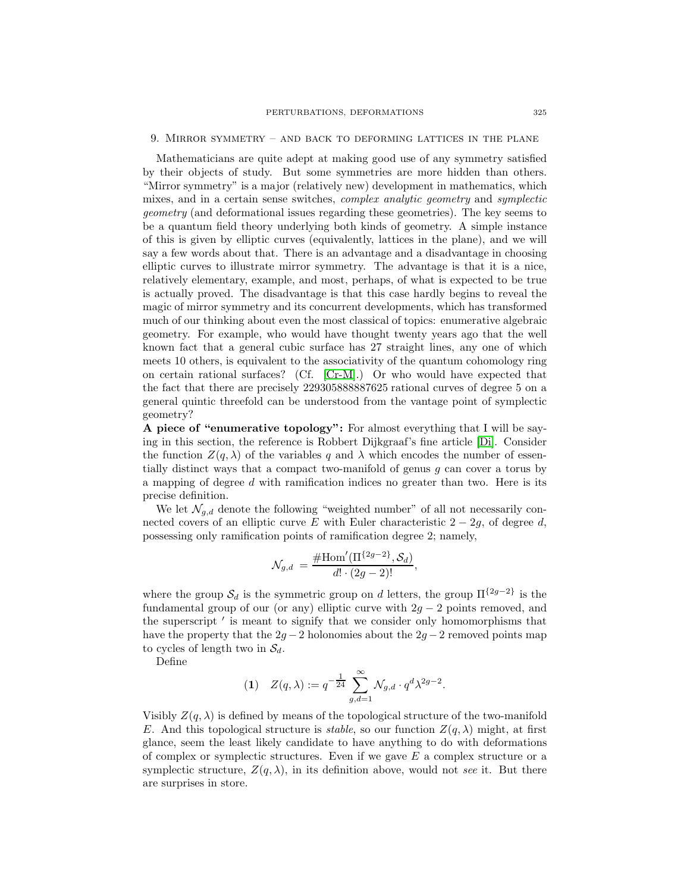#### 9. Mirror symmetry – and back to deforming lattices in the plane

<span id="page-18-0"></span>Mathematicians are quite adept at making good use of any symmetry satisfied by their objects of study. But some symmetries are more hidden than others. "Mirror symmetry" is a major (relatively new) development in mathematics, which mixes, and in a certain sense switches, complex analytic geometry and symplectic geometry (and deformational issues regarding these geometries). The key seems to be a quantum field theory underlying both kinds of geometry. A simple instance of this is given by elliptic curves (equivalently, lattices in the plane), and we will say a few words about that. There is an advantage and a disadvantage in choosing elliptic curves to illustrate mirror symmetry. The advantage is that it is a nice, relatively elementary, example, and most, perhaps, of what is expected to be true is actually proved. The disadvantage is that this case hardly begins to reveal the magic of mirror symmetry and its concurrent developments, which has transformed much of our thinking about even the most classical of topics: enumerative algebraic geometry. For example, who would have thought twenty years ago that the well known fact that a general cubic surface has 27 straight lines, any one of which meets 10 others, is equivalent to the associativity of the quantum cohomology ring on certain rational surfaces? (Cf. [\[Cr-M\]](#page-27-4).) Or who would have expected that the fact that there are precisely 229305888887625 rational curves of degree 5 on a general quintic threefold can be understood from the vantage point of symplectic geometry?

**A piece of "enumerative topology":** For almost everything that I will be saying in this section, the reference is Robbert Dijkgraaf's fine article [\[Di\]](#page-28-10). Consider the function  $Z(q, \lambda)$  of the variables q and  $\lambda$  which encodes the number of essentially distinct ways that a compact two-manifold of genus g can cover a torus by a mapping of degree  $d$  with ramification indices no greater than two. Here is its precise definition.

We let  $\mathcal{N}_{q,d}$  denote the following "weighted number" of all not necessarily connected covers of an elliptic curve E with Euler characteristic  $2 - 2g$ , of degree d, possessing only ramification points of ramification degree 2; namely,

$$
\mathcal{N}_{g,d} = \frac{\# \text{Hom}'(\Pi^{\{2g-2\}}, \mathcal{S}_d)}{d! \cdot (2g-2)!},
$$

where the group  $S_d$  is the symmetric group on d letters, the group  $\Pi^{\{2g-2\}}$  is the fundamental group of our (or any) elliptic curve with  $2g - 2$  points removed, and the superscript  $\prime$  is meant to signify that we consider only homomorphisms that have the property that the  $2g - 2$  holonomies about the  $2g - 2$  removed points map to cycles of length two in  $S_d$ .

Define

$$
(1) \quad Z(q,\lambda) := q^{-\frac{1}{24}} \sum_{g,d=1}^{\infty} \mathcal{N}_{g,d} \cdot q^d \lambda^{2g-2}.
$$

Visibly  $Z(q, \lambda)$  is defined by means of the topological structure of the two-manifold E. And this topological structure is *stable*, so our function  $Z(q, \lambda)$  might, at first glance, seem the least likely candidate to have anything to do with deformations of complex or symplectic structures. Even if we gave  $E$  a complex structure or a symplectic structure,  $Z(q, \lambda)$ , in its definition above, would not see it. But there are surprises in store.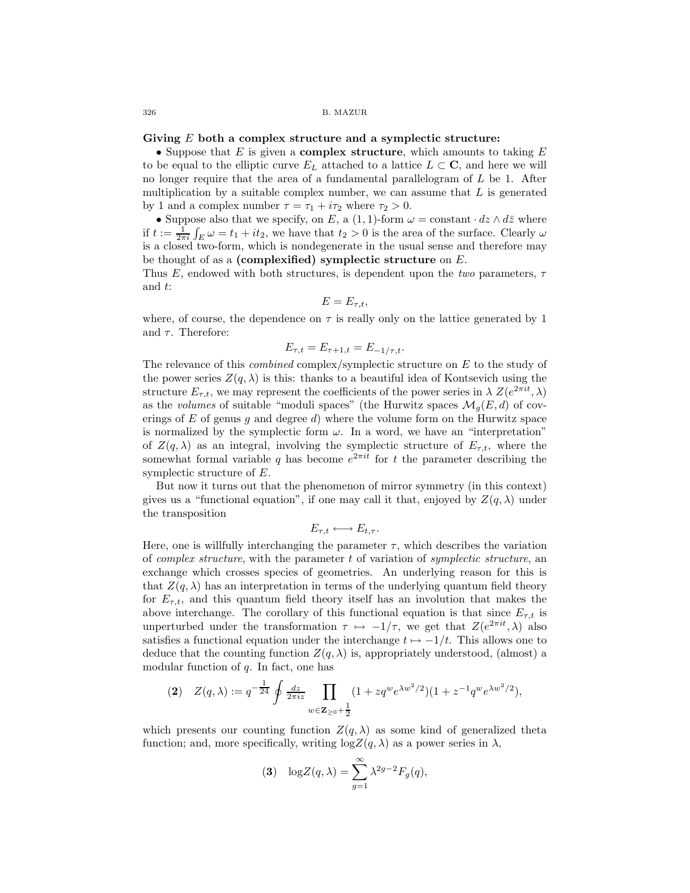### **Giving** E **both a complex structure and a symplectic structure:**

• Suppose that E is given a **complex structure**, which amounts to taking E to be equal to the elliptic curve  $E_L$  attached to a lattice  $L \subset \mathbf{C}$ , and here we will no longer require that the area of a fundamental parallelogram of  $L$  be 1. After multiplication by a suitable complex number, we can assume that  $L$  is generated by 1 and a complex number  $\tau = \tau_1 + i\tau_2$  where  $\tau_2 > 0$ .

• Suppose also that we specify, on E, a (1, 1)-form  $\omega = \text{constant} \cdot dz \wedge d\overline{z}$  where if  $t := \frac{1}{2\pi i} \int_E \omega = t_1 + it_2$ , we have that  $t_2 > 0$  is the area of the surface. Clearly  $\omega$ is a closed two-form, which is nondegenerate in the usual sense and therefore may be thought of as a **(complexified) symplectic structure** on E.

Thus E, endowed with both structures, is dependent upon the two parameters,  $\tau$ and t:

$$
E=E_{\tau,t},
$$

where, of course, the dependence on  $\tau$  is really only on the lattice generated by 1 and  $\tau$ . Therefore:

$$
E_{\tau,t} = E_{\tau+1,t} = E_{-1/\tau,t}.
$$

The relevance of this combined complex/symplectic structure on E to the study of the power series  $Z(q, \lambda)$  is this: thanks to a beautiful idea of Kontsevich using the structure  $E_{\tau,t}$ , we may represent the coefficients of the power series in  $\lambda Z(e^{2\pi it}, \lambda)$ as the volumes of suitable "moduli spaces" (the Hurwitz spaces  $\mathcal{M}_q(E, d)$  of coverings of  $E$  of genus  $g$  and degree  $d$ ) where the volume form on the Hurwitz space is normalized by the symplectic form  $\omega$ . In a word, we have an "interpretation" of  $Z(q, \lambda)$  as an integral, involving the symplectic structure of  $E_{\tau,t}$ , where the somewhat formal variable q has become  $e^{2\pi i t}$  for t the parameter describing the symplectic structure of E.

But now it turns out that the phenomenon of mirror symmetry (in this context) gives us a "functional equation", if one may call it that, enjoyed by  $Z(q, \lambda)$  under the transposition

$$
E_{\tau,t} \longleftrightarrow E_{t,\tau}.
$$

Here, one is willfully interchanging the parameter  $\tau$ , which describes the variation of *complex structure*, with the parameter  $t$  of variation of *symplectic structure*, an exchange which crosses species of geometries. An underlying reason for this is that  $Z(q, \lambda)$  has an interpretation in terms of the underlying quantum field theory for  $E_{\tau,t}$ , and this quantum field theory itself has an involution that makes the above interchange. The corollary of this functional equation is that since  $E_{\tau,t}$  is unperturbed under the transformation  $\tau \mapsto -1/\tau$ , we get that  $Z(e^{2\pi i t}, \lambda)$  also satisfies a functional equation under the interchange  $t \mapsto -1/t$ . This allows one to deduce that the counting function  $Z(q, \lambda)$  is, appropriately understood, (almost) a modular function of  $q$ . In fact, one has

$$
(2) \quad Z(q,\lambda) := q^{-\frac{1}{24}} \oint \frac{dz}{2\pi i z} \prod_{w \in \mathbf{Z}_{\geq 0} + \frac{1}{2}} (1 + zq^{w} e^{\lambda w^{2}/2}) (1 + z^{-1} q^{w} e^{\lambda w^{2}/2}),
$$

which presents our counting function  $Z(q, \lambda)$  as some kind of generalized theta function; and, more specifically, writing  $\log Z(q, \lambda)$  as a power series in  $\lambda$ ,

$$
\textbf{(3)}\quad \log Z(q,\lambda) = \sum_{g=1}^{\infty} \lambda^{2g-2} F_g(q),
$$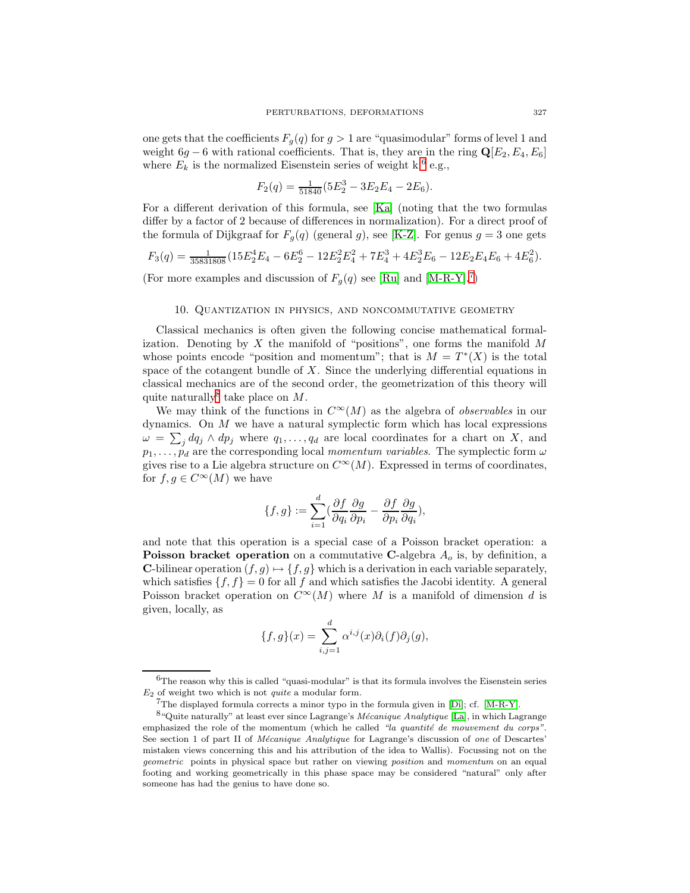one gets that the coefficients  $F_q(q)$  for  $q > 1$  are "quasimodular" forms of level 1 and weight  $6g - 6$  with rational coefficients. That is, they are in the ring  $\mathbf{Q}[E_2, E_4, E_6]$ where  $E_k$  is the normalized Eisenstein series of weight k,<sup>[6](#page-20-1)</sup> e.g.,

$$
F_2(q) = \frac{1}{51840} (5E_2^3 - 3E_2E_4 - 2E_6).
$$

For a different derivation of this formula, see [\[Ka\]](#page-28-11) (noting that the two formulas differ by a factor of 2 because of differences in normalization). For a direct proof of the formula of Dijkgraaf for  $F_q(q)$  (general g), see [\[K-Z\]](#page-28-12). For genus  $g = 3$  one gets

$$
F_3(q) = \frac{1}{35831808} \left( 15E_2^4 E_4 - 6E_2^6 - 12E_2^2 E_4^2 + 7E_4^3 + 4E_2^3 E_6 - 12E_2 E_4 E_6 + 4E_6^2 \right).
$$

<span id="page-20-0"></span>(For more examples and discussion of  $F_g(q)$  see [\[Ru\]](#page-28-13) and [\[M-R-Y\]](#page-28-14).<sup>[7](#page-20-2)</sup>)

### 10. Quantization in physics, and noncommutative geometry

Classical mechanics is often given the following concise mathematical formalization. Denoting by  $X$  the manifold of "positions", one forms the manifold  $M$ whose points encode "position and momentum"; that is  $M = T^*(X)$  is the total space of the cotangent bundle of  $X$ . Since the underlying differential equations in classical mechanics are of the second order, the geometrization of this theory will quite naturally<sup>[8](#page-20-3)</sup> take place on  $M$ .

We may think of the functions in  $C^{\infty}(M)$  as the algebra of *observables* in our dynamics. On  $M$  we have a natural symplectic form which has local expressions  $\omega = \sum_j dq_j \wedge dp_j$  where  $q_1, \ldots, q_d$  are local coordinates for a chart on X, and  $p_1,\ldots,p_d$  are the corresponding local momentum variables. The symplectic form  $\omega$ gives rise to a Lie algebra structure on  $C^{\infty}(M)$ . Expressed in terms of coordinates, for  $f,g \in C^{\infty}(M)$  we have

$$
\{f,g\}:=\sum_{i=1}^d(\frac{\partial f}{\partial q_i}\frac{\partial g}{\partial p_i}-\frac{\partial f}{\partial p_i}\frac{\partial g}{\partial q_i}),
$$

and note that this operation is a special case of a Poisson bracket operation: a **Poisson bracket operation** on a commutative **C**-algebra  $A<sub>o</sub>$  is, by definition, a **C**-bilinear operation  $(f, g) \mapsto \{f, g\}$  which is a derivation in each variable separately, which satisfies  $\{f,f\} = 0$  for all f and which satisfies the Jacobi identity. A general Poisson bracket operation on  $C^{\infty}(M)$  where M is a manifold of dimension d is given, locally, as

$$
\{f,g\}(x) = \sum_{i,j=1}^d \alpha^{i,j}(x)\partial_i(f)\partial_j(g),
$$

<span id="page-20-1"></span> ${}^{6}$ The reason why this is called "quasi-modular" is that its formula involves the Eisenstein series  $E_2$  of weight two which is not *quite* a modular form.

<sup>&</sup>lt;sup>7</sup>The displayed formula corrects a minor typo in the formula given in [\[Di\]](#page-28-10); cf.  $[M-R-Y]$ .

<span id="page-20-3"></span><span id="page-20-2"></span> $8$ "Quite naturally" at least ever since Lagrange's Mécanique Analytique [\[La\]](#page-28-15), in which Lagrange emphasized the role of the momentum (which he called "la quantité de mouvement du corps". See section 1 of part II of Mécanique Analytique for Lagrange's discussion of one of Descartes' mistaken views concerning this and his attribution of the idea to Wallis). Focussing not on the geometric points in physical space but rather on viewing position and momentum on an equal footing and working geometrically in this phase space may be considered "natural" only after someone has had the genius to have done so.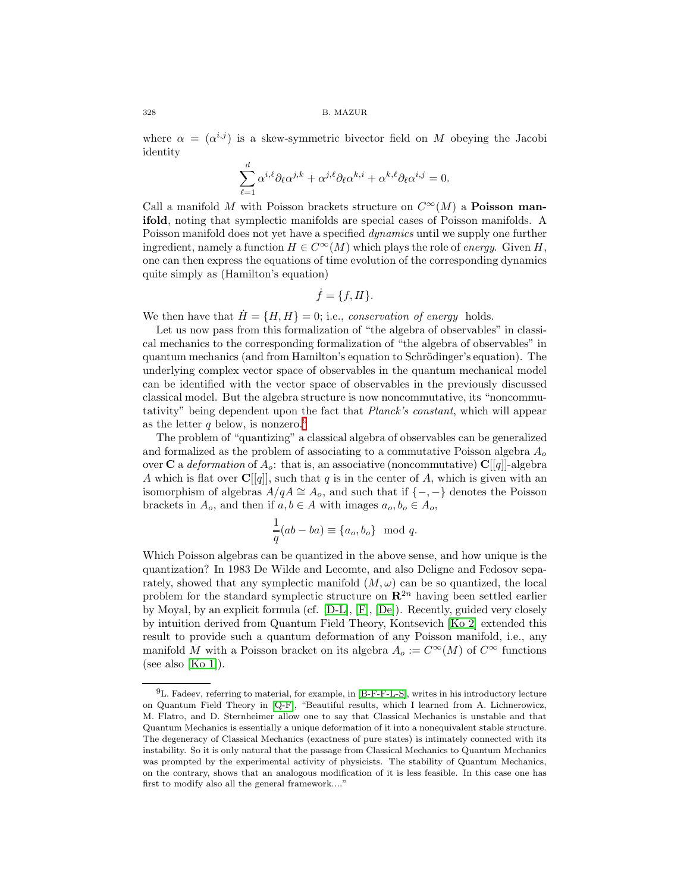where  $\alpha = (\alpha^{i,j})$  is a skew-symmetric bivector field on M obeying the Jacobi identity

$$
\sum_{\ell=1}^d \alpha^{i,\ell} \partial_\ell \alpha^{j,k} + \alpha^{j,\ell} \partial_\ell \alpha^{k,i} + \alpha^{k,\ell} \partial_\ell \alpha^{i,j} = 0.
$$

Call a manifold M with Poisson brackets structure on  $C^{\infty}(M)$  a **Poisson manifold**, noting that symplectic manifolds are special cases of Poisson manifolds. A Poisson manifold does not yet have a specified *dynamics* until we supply one further ingredient, namely a function  $H \in C^{\infty}(M)$  which plays the role of *energy*. Given H, one can then express the equations of time evolution of the corresponding dynamics quite simply as (Hamilton's equation)

$$
\dot{f} = \{f, H\}.
$$

We then have that  $\dot{H} = \{H, H\} = 0$ ; i.e., conservation of energy holds.

Let us now pass from this formalization of "the algebra of observables" in classical mechanics to the corresponding formalization of "the algebra of observables" in quantum mechanics (and from Hamilton's equation to Schrödinger's equation). The underlying complex vector space of observables in the quantum mechanical model can be identified with the vector space of observables in the previously discussed classical model. But the algebra structure is now noncommutative, its "noncommutativity" being dependent upon the fact that Planck's constant, which will appear as the letter q below, is nonzero.<sup>[9](#page-21-0)</sup>

The problem of "quantizing" a classical algebra of observables can be generalized and formalized as the problem of associating to a commutative Poisson algebra  $A<sub>o</sub>$ over **C** a deformation of  $A_o$ : that is, an associative (noncommutative) **C**[[q]]-algebra A which is flat over  $\mathbb{C}[[q]]$ , such that q is in the center of A, which is given with an isomorphism of algebras  $A/qA \cong A_o$ , and such that if  $\{-,-\}$  denotes the Poisson brackets in  $A_o$ , and then if  $a, b \in A$  with images  $a_o, b_o \in A_o$ ,

$$
\frac{1}{q}(ab - ba) \equiv \{a_o, b_o\} \mod q.
$$

Which Poisson algebras can be quantized in the above sense, and how unique is the quantization? In 1983 De Wilde and Lecomte, and also Deligne and Fedosov separately, showed that any symplectic manifold  $(M,\omega)$  can be so quantized, the local problem for the standard symplectic structure on  $\mathbb{R}^{2n}$  having been settled earlier by Moyal, by an explicit formula (cf. [\[D-L\]](#page-28-16), [\[F\]](#page-28-17), [\[De\]](#page-28-18)). Recently, guided very closely by intuition derived from Quantum Field Theory, Kontsevich [\[Ko 2\]](#page-28-19) extended this result to provide such a quantum deformation of any Poisson manifold, i.e., any manifold M with a Poisson bracket on its algebra  $A_o := C^{\infty}(M)$  of  $C^{\infty}$  functions (see also [\[Ko 1\]](#page-28-20)).

<span id="page-21-0"></span><sup>9</sup>L. Fadeev, referring to material, for example, in [\[B-F-F-L-S\]](#page-27-5), writes in his introductory lecture on Quantum Field Theory in [\[Q-F\]](#page-28-21), "Beautiful results, which I learned from A. Lichnerowicz, M. Flatro, and D. Sternheimer allow one to say that Classical Mechanics is unstable and that Quantum Mechanics is essentially a unique deformation of it into a nonequivalent stable structure. The degeneracy of Classical Mechanics (exactness of pure states) is intimately connected with its instability. So it is only natural that the passage from Classical Mechanics to Quantum Mechanics was prompted by the experimental activity of physicists. The stability of Quantum Mechanics, on the contrary, shows that an analogous modification of it is less feasible. In this case one has first to modify also all the general framework...."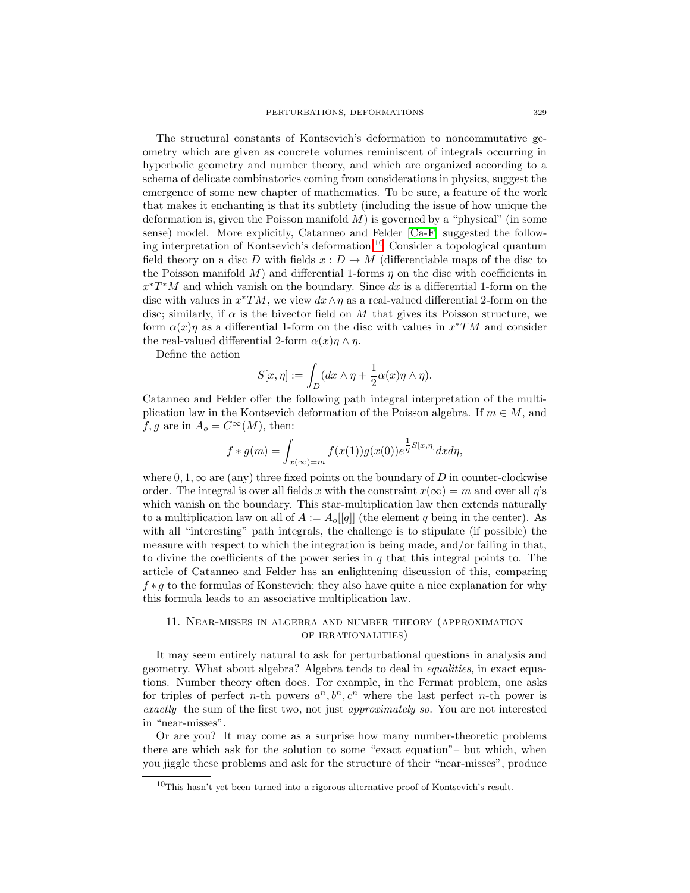The structural constants of Kontsevich's deformation to noncommutative geometry which are given as concrete volumes reminiscent of integrals occurring in hyperbolic geometry and number theory, and which are organized according to a schema of delicate combinatorics coming from considerations in physics, suggest the emergence of some new chapter of mathematics. To be sure, a feature of the work that makes it enchanting is that its subtlety (including the issue of how unique the deformation is, given the Poisson manifold  $M$ ) is governed by a "physical" (in some sense) model. More explicitly, Catanneo and Felder [\[Ca-F\]](#page-27-6) suggested the following interpretation of Kontsevich's deformation.[10](#page-22-1) Consider a topological quantum field theory on a disc D with fields  $x : D \to M$  (differentiable maps of the disc to the Poisson manifold M) and differential 1-forms  $\eta$  on the disc with coefficients in  $x^*T^*M$  and which vanish on the boundary. Since dx is a differential 1-form on the disc with values in  $x^*TM$ , we view  $dx \wedge \eta$  as a real-valued differential 2-form on the disc; similarly, if  $\alpha$  is the bivector field on M that gives its Poisson structure, we form  $\alpha(x)\eta$  as a differential 1-form on the disc with values in  $x^*TM$  and consider the real-valued differential 2-form  $\alpha(x)\eta \wedge \eta$ .

Define the action

$$
S[x, \eta] := \int_D (dx \wedge \eta + \frac{1}{2}\alpha(x)\eta \wedge \eta).
$$

Catanneo and Felder offer the following path integral interpretation of the multiplication law in the Kontsevich deformation of the Poisson algebra. If  $m \in M$ , and  $f,g$  are in  $A_o = C^{\infty}(M)$ , then:

$$
f * g(m) = \int_{x(\infty)=m} f(x(1))g(x(0))e^{\frac{1}{q}S[x,\eta]}dx d\eta,
$$

where  $0, 1, \infty$  are (any) three fixed points on the boundary of D in counter-clockwise order. The integral is over all fields x with the constraint  $x(\infty) = m$  and over all  $\eta$ 's which vanish on the boundary. This star-multiplication law then extends naturally to a multiplication law on all of  $A := A_o[[q]]$  (the element q being in the center). As with all "interesting" path integrals, the challenge is to stipulate (if possible) the measure with respect to which the integration is being made, and/or failing in that, to divine the coefficients of the power series in  $q$  that this integral points to. The article of Catanneo and Felder has an enlightening discussion of this, comparing  $f * g$  to the formulas of Konstevich; they also have quite a nice explanation for why this formula leads to an associative multiplication law.

## 11. Near-misses in algebra and number theory (approximation of irrationalities)

<span id="page-22-0"></span>It may seem entirely natural to ask for perturbational questions in analysis and geometry. What about algebra? Algebra tends to deal in equalities, in exact equations. Number theory often does. For example, in the Fermat problem, one asks for triples of perfect n-th powers  $a^n, b^n, c^n$  where the last perfect n-th power is exactly the sum of the first two, not just approximately so. You are not interested in "near-misses".

Or are you? It may come as a surprise how many number-theoretic problems there are which ask for the solution to some "exact equation"– but which, when you jiggle these problems and ask for the structure of their "near-misses", produce

<span id="page-22-1"></span> $10$ This hasn't yet been turned into a rigorous alternative proof of Kontsevich's result.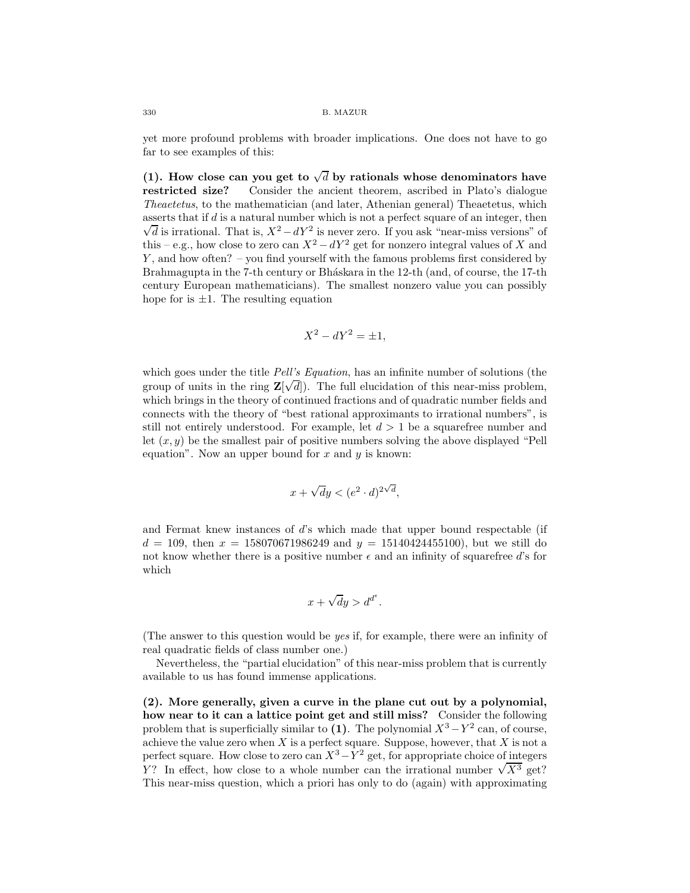yet more profound problems with broader implications. One does not have to go far to see examples of this:

(1). How close can you get to  $\sqrt{d}$  by rationals whose denominators have **restricted size?** Consider the ancient theorem, ascribed in Plato's dialogue Theaetetus, to the mathematician (and later, Athenian general) Theaetetus, which asserts that if d is a natural number which is not a perfect square of an integer, then  $\sqrt{d}$  is irrational. That is,  $X^2 - dY^2$  is never zero. If you ask "near-miss versions" of this – e.g., how close to zero can  $X^2 - dY^2$  get for nonzero integral values of X and Y , and how often? – you find yourself with the famous problems first considered by Brahmagupta in the 7-th century or Bháskara in the 12-th (and, of course, the 17-th century European mathematicians). The smallest nonzero value you can possibly hope for is  $\pm 1$ . The resulting equation

$$
X^2 - dY^2 = \pm 1,
$$

which goes under the title *Pell's Equation*, has an infinite number of solutions (the group of units in the ring  $\mathbf{Z}[\sqrt{d}]$ ). The full elucidation of this near-miss problem, which brings in the theory of continued fractions and of quadratic number fields and connects with the theory of "best rational approximants to irrational numbers", is still not entirely understood. For example, let  $d > 1$  be a squarefree number and let  $(x, y)$  be the smallest pair of positive numbers solving the above displayed "Pell equation". Now an upper bound for  $x$  and  $y$  is known:

$$
x + \sqrt{d}y < (e^2 \cdot d)^{2\sqrt{d}},
$$

and Fermat knew instances of d's which made that upper bound respectable (if  $d = 109$ , then  $x = 158070671986249$  and  $y = 15140424455100$ , but we still do not know whether there is a positive number  $\epsilon$  and an infinity of squarefree d's for which

$$
x + \sqrt{d}y > d^{d^{\epsilon}}.
$$

(The answer to this question would be yes if, for example, there were an infinity of real quadratic fields of class number one.)

Nevertheless, the "partial elucidation" of this near-miss problem that is currently available to us has found immense applications.

**(2). More generally, given a curve in the plane cut out by a polynomial, how near to it can a lattice point get and still miss?** Consider the following problem that is superficially similar to **(1)**. The polynomial  $X^3 - Y^2$  can, of course, achieve the value zero when  $X$  is a perfect square. Suppose, however, that  $X$  is not a perfect square. How close to zero can  $X^3 - Y^2$  get, for appropriate choice of integers perfect square. How close to zero can  $X^2 - Y^2$  get, for appropriate choice of integers  $Y$ ? In effect, how close to a whole number can the irrational number  $\sqrt{X^3}$  get? This near-miss question, which a priori has only to do (again) with approximating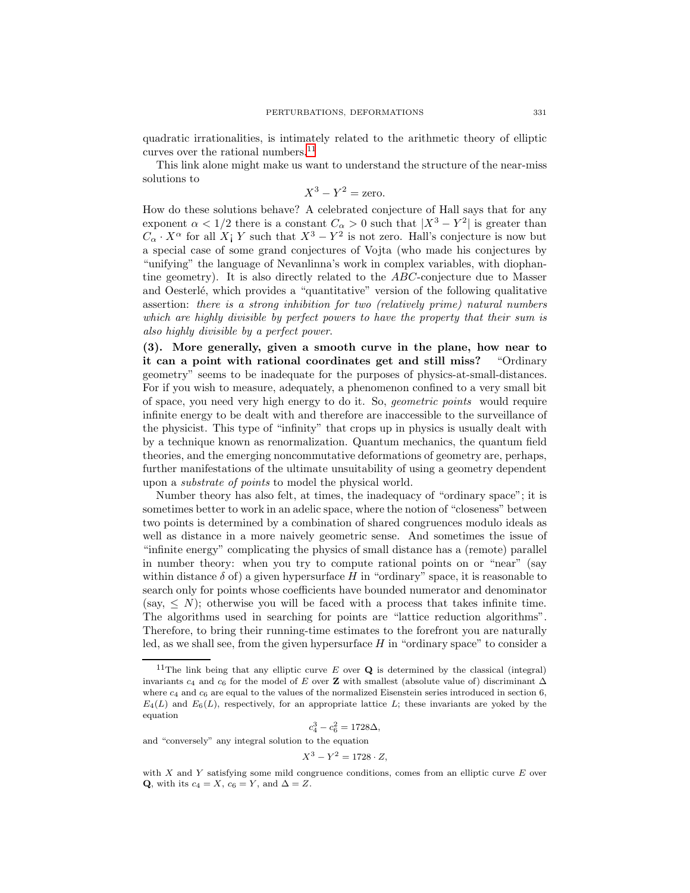quadratic irrationalities, is intimately related to the arithmetic theory of elliptic curves over the rational numbers. $^{11}$  $^{11}$  $^{11}$ 

This link alone might make us want to understand the structure of the near-miss solutions to

$$
X^3 - Y^2 = \text{zero}.
$$

How do these solutions behave? A celebrated conjecture of Hall says that for any exponent  $\alpha < 1/2$  there is a constant  $C_{\alpha} > 0$  such that  $|X^3 - Y^2|$  is greater than  $C_{\alpha} \cdot X^{\alpha}$  for all  $X$ ; Y such that  $X^3 - Y^2$  is not zero. Hall's conjecture is now but a special case of some grand conjectures of Vojta (who made his conjectures by "unifying" the language of Nevanlinna's work in complex variables, with diophantine geometry). It is also directly related to the ABC-conjecture due to Masser and Oesterlé, which provides a "quantitative" version of the following qualitative assertion: there is a strong inhibition for two (relatively prime) natural numbers which are highly divisible by perfect powers to have the property that their sum is also highly divisible by a perfect power.

**(3). More generally, given a smooth curve in the plane, how near to it can a point with rational coordinates get and still miss?** "Ordinary geometry" seems to be inadequate for the purposes of physics-at-small-distances. For if you wish to measure, adequately, a phenomenon confined to a very small bit of space, you need very high energy to do it. So, geometric points would require infinite energy to be dealt with and therefore are inaccessible to the surveillance of the physicist. This type of "infinity" that crops up in physics is usually dealt with by a technique known as renormalization. Quantum mechanics, the quantum field theories, and the emerging noncommutative deformations of geometry are, perhaps, further manifestations of the ultimate unsuitability of using a geometry dependent upon a substrate of points to model the physical world.

Number theory has also felt, at times, the inadequacy of "ordinary space"; it is sometimes better to work in an adelic space, where the notion of "closeness" between two points is determined by a combination of shared congruences modulo ideals as well as distance in a more naively geometric sense. And sometimes the issue of "infinite energy" complicating the physics of small distance has a (remote) parallel in number theory: when you try to compute rational points on or "near" (say within distance  $\delta$  of) a given hypersurface H in "ordinary" space, it is reasonable to search only for points whose coefficients have bounded numerator and denominator (say,  $\leq N$ ); otherwise you will be faced with a process that takes infinite time. The algorithms used in searching for points are "lattice reduction algorithms". Therefore, to bring their running-time estimates to the forefront you are naturally led, as we shall see, from the given hypersurface  $H$  in "ordinary space" to consider a

$$
c_4^3 - c_6^2 = 1728\Delta,
$$

and "conversely" any integral solution to the equation

$$
X^3 - Y^2 = 1728 \cdot Z,
$$

<span id="page-24-0"></span><sup>&</sup>lt;sup>11</sup>The link being that any elliptic curve  $E$  over **Q** is determined by the classical (integral) invariants  $c_4$  and  $c_6$  for the model of E over **Z** with smallest (absolute value of) discriminant  $\Delta$ where  $c_4$  and  $c_6$  are equal to the values of the normalized Eisenstein series introduced in section 6,  $E_4(L)$  and  $E_6(L)$ , respectively, for an appropriate lattice L; these invariants are yoked by the equation

with  $X$  and  $Y$  satisfying some mild congruence conditions, comes from an elliptic curve  $E$  over **Q**, with its  $c_4 = X$ ,  $c_6 = Y$ , and  $\Delta = Z$ .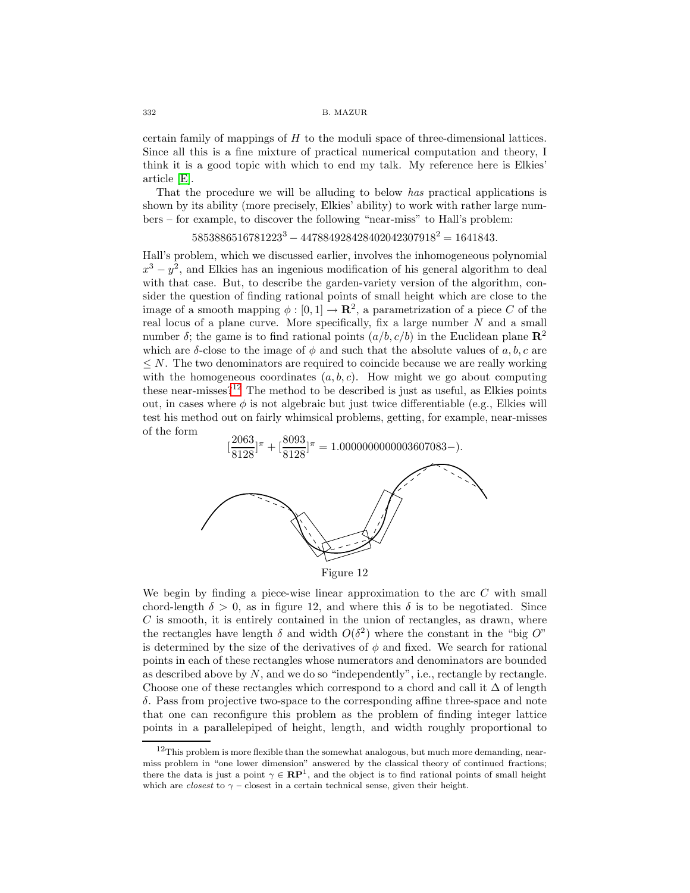certain family of mappings of H to the moduli space of three-dimensional lattices. Since all this is a fine mixture of practical numerical computation and theory, I think it is a good topic with which to end my talk. My reference here is Elkies' article [\[E\]](#page-28-22).

That the procedure we will be alluding to below has practical applications is shown by its ability (more precisely, Elkies' ability) to work with rather large numbers – for example, to discover the following "near-miss" to Hall's problem:

$$
5853886516781223^3 - 447884928428402042307918^2 = 1641843.
$$

Hall's problem, which we discussed earlier, involves the inhomogeneous polynomial  $x^3 - y^2$ , and Elkies has an ingenious modification of his general algorithm to deal with that case. But, to describe the garden-variety version of the algorithm, consider the question of finding rational points of small height which are close to the image of a smooth mapping  $\phi : [0,1] \to \mathbb{R}^2$ , a parametrization of a piece C of the real locus of a plane curve. More specifically, fix a large number  $N$  and a small number  $\delta$ ; the game is to find rational points  $(a/b, c/b)$  in the Euclidean plane  $\mathbb{R}^2$ which are  $\delta$ -close to the image of  $\phi$  and such that the absolute values of a, b, c are  $\leq N$ . The two denominators are required to coincide because we are really working with the homogeneous coordinates  $(a, b, c)$ . How might we go about computing these near-misses?<sup>[12](#page-25-0)</sup> The method to be described is just as useful, as Elkies points out, in cases where  $\phi$  is not algebraic but just twice differentiable (e.g., Elkies will test his method out on fairly whimsical problems, getting, for example, near-misses of the form



We begin by finding a piece-wise linear approximation to the arc  $C$  with small chord-length  $\delta > 0$ , as in figure 12, and where this  $\delta$  is to be negotiated. Since  $C$  is smooth, it is entirely contained in the union of rectangles, as drawn, where the rectangles have length  $\delta$  and width  $O(\delta^2)$  where the constant in the "big O" is determined by the size of the derivatives of  $\phi$  and fixed. We search for rational points in each of these rectangles whose numerators and denominators are bounded as described above by  $N$ , and we do so "independently", i.e., rectangle by rectangle. Choose one of these rectangles which correspond to a chord and call it  $\Delta$  of length δ. Pass from projective two-space to the corresponding affine three-space and note that one can reconfigure this problem as the problem of finding integer lattice points in a parallelepiped of height, length, and width roughly proportional to

<span id="page-25-0"></span> $12$ This problem is more flexible than the somewhat analogous, but much more demanding, nearmiss problem in "one lower dimension" answered by the classical theory of continued fractions; there the data is just a point  $\gamma \in \mathbb{RP}^1$ , and the object is to find rational points of small height which are *closest* to  $\gamma$  – closest in a certain technical sense, given their height.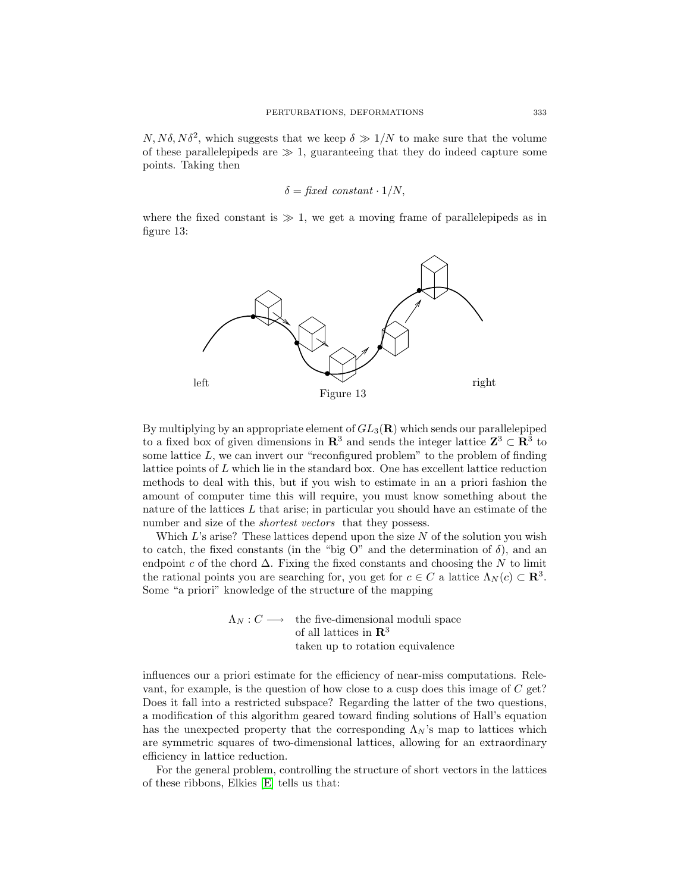$N, N\delta, N\delta^2$ , which suggests that we keep  $\delta \gg 1/N$  to make sure that the volume of these parallelepipeds are  $\gg 1$ , guaranteeing that they do indeed capture some points. Taking then

$$
\delta = \text{fixed constant} \cdot 1/N,
$$

where the fixed constant is  $\gg 1$ , we get a moving frame of parallelepipeds as in figure 13:



By multiplying by an appropriate element of  $GL_3(\mathbf{R})$  which sends our parallelepiped to a fixed box of given dimensions in  $\mathbb{R}^3$  and sends the integer lattice  $\mathbb{Z}^3 \subset \mathbb{R}^3$  to some lattice  $L$ , we can invert our "reconfigured problem" to the problem of finding lattice points of L which lie in the standard box. One has excellent lattice reduction methods to deal with this, but if you wish to estimate in an a priori fashion the amount of computer time this will require, you must know something about the nature of the lattices  $L$  that arise; in particular you should have an estimate of the number and size of the *shortest vectors* that they possess.

Which  $L$ 's arise? These lattices depend upon the size  $N$  of the solution you wish to catch, the fixed constants (in the "big O" and the determination of  $\delta$ ), and an endpoint c of the chord  $\Delta$ . Fixing the fixed constants and choosing the N to limit the rational points you are searching for, you get for  $c \in C$  a lattice  $\Lambda_N(c) \subset \mathbb{R}^3$ . Some "a priori" knowledge of the structure of the mapping

> $\Lambda_N : C \longrightarrow$  the five-dimensional moduli space of all lattices in **R**<sup>3</sup> taken up to rotation equivalence

influences our a priori estimate for the efficiency of near-miss computations. Relevant, for example, is the question of how close to a cusp does this image of  $C$  get? Does it fall into a restricted subspace? Regarding the latter of the two questions, a modification of this algorithm geared toward finding solutions of Hall's equation has the unexpected property that the corresponding  $\Lambda_N$ 's map to lattices which are symmetric squares of two-dimensional lattices, allowing for an extraordinary efficiency in lattice reduction.

For the general problem, controlling the structure of short vectors in the lattices of these ribbons, Elkies [\[E\]](#page-28-22) tells us that: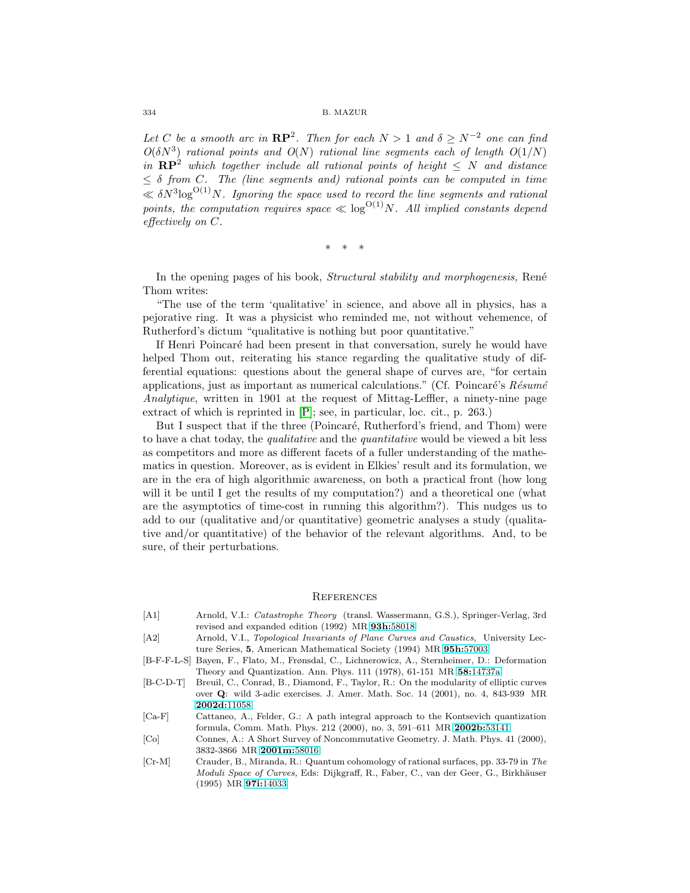Let C be a smooth arc in  $\mathbb{RP}^2$ . Then for each  $N > 1$  and  $\delta \geq N^{-2}$  one can find  $O(\delta N^3)$  rational points and  $O(N)$  rational line segments each of length  $O(1/N)$ in  $\mathbb{RP}^2$  which together include all rational points of height  $\leq N$  and distance  $\leq \delta$  from C. The (line segments and) rational points can be computed in time  $\ll \delta N^3 \log^{O(1)} N$ . Ignoring the space used to record the line segments and rational points, the computation requires space  $\ll \log^{O(1)} N$ . All implied constants depend effectively on C.

\*\*\*

In the opening pages of his book, Structural stability and morphogenesis, René Thom writes:

"The use of the term 'qualitative' in science, and above all in physics, has a pejorative ring. It was a physicist who reminded me, not without vehemence, of Rutherford's dictum "qualitative is nothing but poor quantitative."

If Henri Poincaré had been present in that conversation, surely he would have helped Thom out, reiterating his stance regarding the qualitative study of differential equations: questions about the general shape of curves are, "for certain applications, just as important as numerical calculations." (Cf. Poincaré's  $R\acute{e}sum\acute{e}$ Analytique, written in 1901 at the request of Mittag-Leffler, a ninety-nine page extract of which is reprinted in [\[P\]](#page-28-23); see, in particular, loc. cit., p. 263.)

But I suspect that if the three (Poincaré, Rutherford's friend, and Thom) were to have a chat today, the *qualitative* and the *quantitative* would be viewed a bit less as competitors and more as different facets of a fuller understanding of the mathematics in question. Moreover, as is evident in Elkies' result and its formulation, we are in the era of high algorithmic awareness, on both a practical front (how long will it be until I get the results of my computation?) and a theoretical one (what are the asymptotics of time-cost in running this algorithm?). This nudges us to add to our (qualitative and/or quantitative) geometric analyses a study (qualitative and/or quantitative) of the behavior of the relevant algorithms. And, to be sure, of their perturbations.

#### **REFERENCES**

- <span id="page-27-2"></span><span id="page-27-0"></span>[A1] Arnold, V.I.: Catastrophe Theory (transl. Wassermann, G.S.), Springer-Verlag, 3rd revised and expanded edition (1992) MR **93h:**[58018](http://www.ams.org/mathscinet-getitem?mr=93h:58018)
- <span id="page-27-1"></span>[A2] Arnold, V.I., Topological Invariants of Plane Curves and Caustics, University Lecture Series, **5**, American Mathematical Society (1994) MR **95h:**[57003](http://www.ams.org/mathscinet-getitem?mr=95h:57003)
- <span id="page-27-5"></span>[B-F-F-L-S] Bayen, F., Flato, M., Frønsdal, C., Lichnerowicz, A., Sternheimer, D.: Deformation Theory and Quantization. Ann. Phys. 111 (1978), 61-151 MR **58:**[14737a](http://www.ams.org/mathscinet-getitem?mr=58:14737a)
- <span id="page-27-3"></span>[B-C-D-T] Breuil, C., Conrad, B., Diamond, F., Taylor, R.: On the modularity of elliptic curves over **Q**: wild 3-adic exercises. J. Amer. Math. Soc. 14 (2001), no. 4, 843-939 MR **[2002d:](http://www.ams.org/mathscinet-getitem?mr=2002d:11058)**11058
- <span id="page-27-6"></span>[Ca-F] Cattaneo, A., Felder, G.: A path integral approach to the Kontsevich quantization formula, Comm. Math. Phys. 212 (2000), no. 3, 591–611 MR **[2002b:](http://www.ams.org/mathscinet-getitem?mr=2002b:53141)**53141
- [Co] Connes, A.: A Short Survey of Noncommutative Geometry. J. Math. Phys. 41 (2000), 3832-3866 MR **[2001m:](http://www.ams.org/mathscinet-getitem?mr=2001m:58016)**58016
- <span id="page-27-4"></span>[Cr-M] Crauder, B., Miranda, R.: Quantum cohomology of rational surfaces, pp. 33-79 in The Moduli Space of Curves, Eds: Dijkgraff, R., Faber, C., van der Geer, G., Birkhäuser (1995) MR **97i:**[14033](http://www.ams.org/mathscinet-getitem?mr=97i:14033)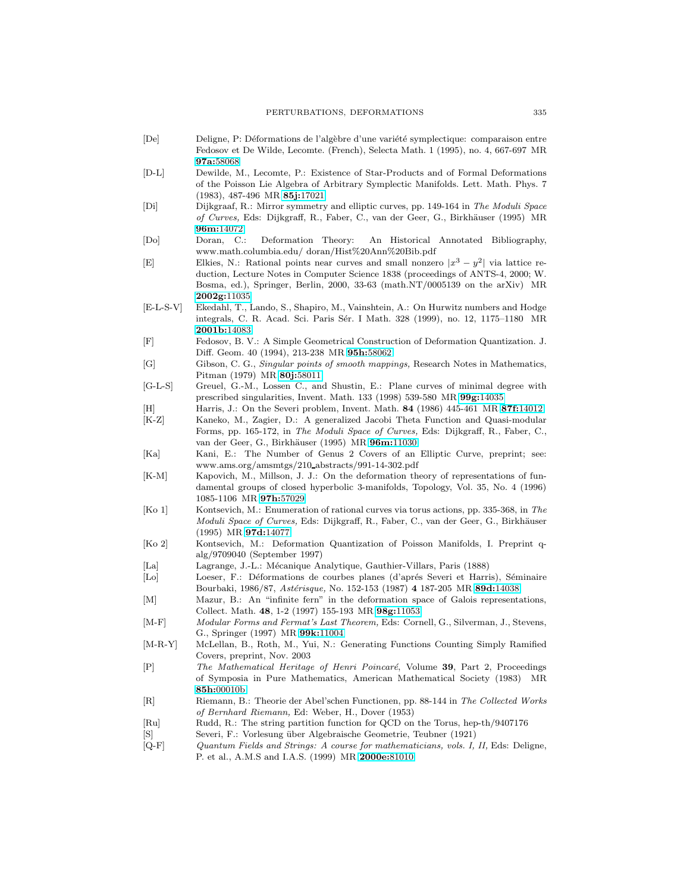- <span id="page-28-18"></span>[De] Deligne, P: Déformations de l'algèbre d'une variété symplectique: comparaison entre Fedosov et De Wilde, Lecomte. (French), Selecta Math. 1 (1995), no. 4, 667-697 MR **97a:**[58068](http://www.ams.org/mathscinet-getitem?mr=97a:58068)
- <span id="page-28-16"></span>[D-L] Dewilde, M., Lecomte, P.: Existence of Star-Products and of Formal Deformations of the Poisson Lie Algebra of Arbitrary Symplectic Manifolds. Lett. Math. Phys. 7 (1983), 487-496 MR **85j:**[17021](http://www.ams.org/mathscinet-getitem?mr=85j:17021)
- <span id="page-28-10"></span>[Di] Dijkgraaf, R.: Mirror symmetry and elliptic curves, pp. 149-164 in The Moduli Space of Curves, Eds: Dijkgraff, R., Faber, C., van der Geer, G., Birkhäuser (1995) MR **96m:**[14072](http://www.ams.org/mathscinet-getitem?mr=96m:14072)
- <span id="page-28-0"></span>[Do] Doran, C.: Deformation Theory: An Historical Annotated Bibliography, www.math.columbia.edu/ doran/Hist%20Ann%20Bib.pdf
- <span id="page-28-22"></span>[E] Elkies, N.: Rational points near curves and small nonzero  $|x^3 - y^2|$  via lattice reduction, Lecture Notes in Computer Science 1838 (proceedings of ANTS-4, 2000; W. Bosma, ed.), Springer, Berlin, 2000, 33-63 (math.NT/0005139 on the arXiv) MR **[2002g:](http://www.ams.org/mathscinet-getitem?mr=2002g:11035)**11035
- [E-L-S-V] Ekedahl, T., Lando, S., Shapiro, M., Vainshtein, A.: On Hurwitz numbers and Hodge integrals, C. R. Acad. Sci. Paris Sér. I Math. 328 (1999), no. 12, 1175–1180 MR **[2001b:](http://www.ams.org/mathscinet-getitem?mr=2001b:14083)**14083
- <span id="page-28-17"></span>[F] Fedosov, B. V.: A Simple Geometrical Construction of Deformation Quantization. J. Diff. Geom. 40 (1994), 213-238 MR **95h:**[58062](http://www.ams.org/mathscinet-getitem?mr=95h:58062)
- <span id="page-28-1"></span>[G] Gibson, C. G., Singular points of smooth mappings, Research Notes in Mathematics, Pitman (1979) MR **80j:**[58011](http://www.ams.org/mathscinet-getitem?mr=80j:58011)
- <span id="page-28-2"></span>[G-L-S] Greuel, G.-M., Lossen C., and Shustin, E.: Plane curves of minimal degree with prescribed singularities, Invent. Math. 133 (1998) 539-580 MR **99g:**[14035](http://www.ams.org/mathscinet-getitem?mr=99g:14035)
- <span id="page-28-4"></span>[H] Harris, J.: On the Severi problem, Invent. Math. **84** (1986) 445-461 MR **87f:**[14012](http://www.ams.org/mathscinet-getitem?mr=87f:14012)
- <span id="page-28-12"></span>[K-Z] Kaneko, M., Zagier, D.: A generalized Jacobi Theta Function and Quasi-modular Forms, pp. 165-172, in The Moduli Space of Curves, Eds: Dijkgraff, R., Faber, C., van der Geer, G., Birkh¨auser (1995) MR **96m:**[11030](http://www.ams.org/mathscinet-getitem?mr=96m:11030)
- <span id="page-28-11"></span>[Ka] Kani, E.: The Number of Genus 2 Covers of an Elliptic Curve, preprint; see: www.ams.org/amsmtgs/210 abstracts/991-14-302.pdf
- <span id="page-28-8"></span>[K-M] Kapovich, M., Millson, J. J.: On the deformation theory of representations of fundamental groups of closed hyperbolic 3-manifolds, Topology, Vol. 35, No. 4 (1996) 1085-1106 MR **97h:**[57029](http://www.ams.org/mathscinet-getitem?mr=97h:57029)
- <span id="page-28-20"></span>[Ko 1] Kontsevich, M.: Enumeration of rational curves via torus actions, pp. 335-368, in The Moduli Space of Curves, Eds: Dijkgraff, R., Faber, C., van der Geer, G., Birkhäuser (1995) MR **97d:**[14077](http://www.ams.org/mathscinet-getitem?mr=97d:14077)
- <span id="page-28-19"></span>[Ko 2] Kontsevich, M.: Deformation Quantization of Poisson Manifolds, I. Preprint qalg/9709040 (September 1997)
- <span id="page-28-15"></span>[La] Lagrange, J.-L.: Mécanique Analytique, Gauthier-Villars, Paris (1888)
- <span id="page-28-5"></span>[Lo] Loeser, F.: Déformations de courbes planes (d'aprés Severi et Harris), Séminaire Bourbaki, 1986/87, Astérisque, No. 152-153 (1987) 4 187-205 MR 89d:[14038](http://www.ams.org/mathscinet-getitem?mr=89d:14038)
- <span id="page-28-9"></span>[M] Mazur, B.: An "infinite fern" in the deformation space of Galois representations, Collect. Math. **48**, 1-2 (1997) 155-193 MR **98g:**[11053](http://www.ams.org/mathscinet-getitem?mr=98g:11053)
- <span id="page-28-7"></span>[M-F] Modular Forms and Fermat's Last Theorem, Eds: Cornell, G., Silverman, J., Stevens, G., Springer (1997) MR **99k:**[11004](http://www.ams.org/mathscinet-getitem?mr=99k:11004)
- <span id="page-28-14"></span>[M-R-Y] McLellan, B., Roth, M., Yui, N.: Generating Functions Counting Simply Ramified Covers, preprint, Nov. 2003
- <span id="page-28-23"></span>[P] The Mathematical Heritage of Henri Poincar´e, Volume **39**, Part 2, Proceedings of Symposia in Pure Mathematics, American Mathematical Society (1983) MR **85h:**[00010b](http://www.ams.org/mathscinet-getitem?mr=85h:00010b)
- <span id="page-28-6"></span>[R] Riemann, B.: Theorie der Abel'schen Functionen, pp. 88-144 in The Collected Works of Bernhard Riemann, Ed: Weber, H., Dover (1953)
- <span id="page-28-13"></span>[Ru] Rudd, R.: The string partition function for QCD on the Torus, hep-th/9407176
- [S] Severi, F.: Vorlesung über Algebraische Geometrie, Teubner (1921)
- <span id="page-28-21"></span><span id="page-28-3"></span>[Q-F] Quantum Fields and Strings: A course for mathematicians, vols. I, II, Eds: Deligne, P. et al., A.M.S and I.A.S. (1999) MR **[2000e:](http://www.ams.org/mathscinet-getitem?mr=2000e:81010)**81010